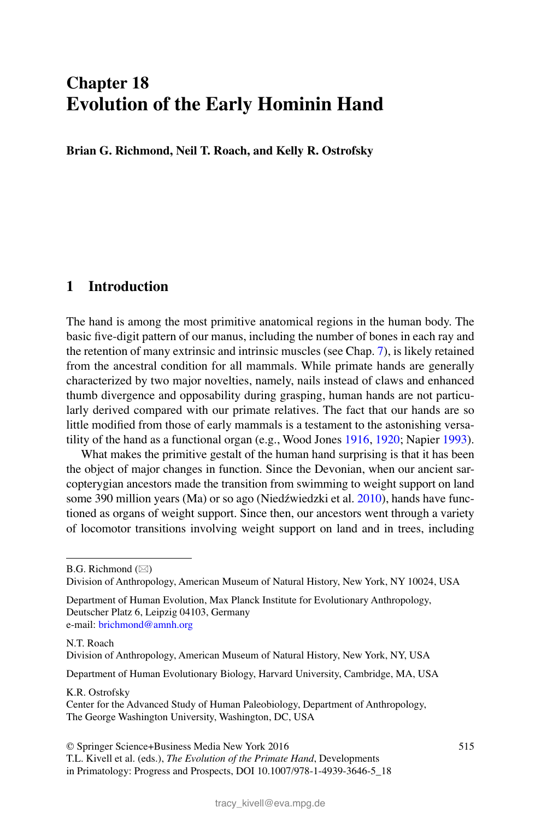# **Chapter 18 Evolution of the Early Hominin Hand**

Brian G. Richmond, Neil T. Roach, and Kelly R. Ostrofsky

# **1 Introduction**

 The hand is among the most primitive anatomical regions in the human body. The basic five-digit pattern of our manus, including the number of bones in each ray and the retention of many extrinsic and intrinsic muscles (see Chap. [7\)](http://dx.doi.org/10.1007/978-1-4939-3646-5_7), is likely retained from the ancestral condition for all mammals. While primate hands are generally characterized by two major novelties, namely, nails instead of claws and enhanced thumb divergence and opposability during grasping, human hands are not particularly derived compared with our primate relatives. The fact that our hands are so little modified from those of early mammals is a testament to the astonishing versatility of the hand as a functional organ (e.g., Wood Jones  $1916$ ,  $1920$ ; Napier 1993).

 What makes the primitive gestalt of the human hand surprising is that it has been the object of major changes in function. Since the Devonian, when our ancient sarcopterygian ancestors made the transition from swimming to weight support on land some 390 million years (Ma) or so ago (Niedźwiedzki et al. 2010), hands have functioned as organs of weight support. Since then, our ancestors went through a variety of locomotor transitions involving weight support on land and in trees, including

B.G. Richmond  $(\boxtimes)$ 

Division of Anthropology, American Museum of Natural History, New York, NY 10024, USA

Department of Human Evolution, Max Planck Institute for Evolutionary Anthropology, Deutscher Platz 6, Leipzig 04103, Germany e-mail: [brichmond@amnh.org](mailto:brichmond@amnh.org)

N.T. Roach Division of Anthropology, American Museum of Natural History, New York, NY, USA

Department of Human Evolutionary Biology, Harvard University, Cambridge, MA, USA

K.R. Ostrofsky

© Springer Science+Business Media New York 2016 515

T.L. Kivell et al. (eds.), *The Evolution of the Primate Hand*, Developments in Primatology: Progress and Prospects, DOI 10.1007/978-1-4939-3646-5\_18

Center for the Advanced Study of Human Paleobiology, Department of Anthropology , The George Washington University, Washington, DC, USA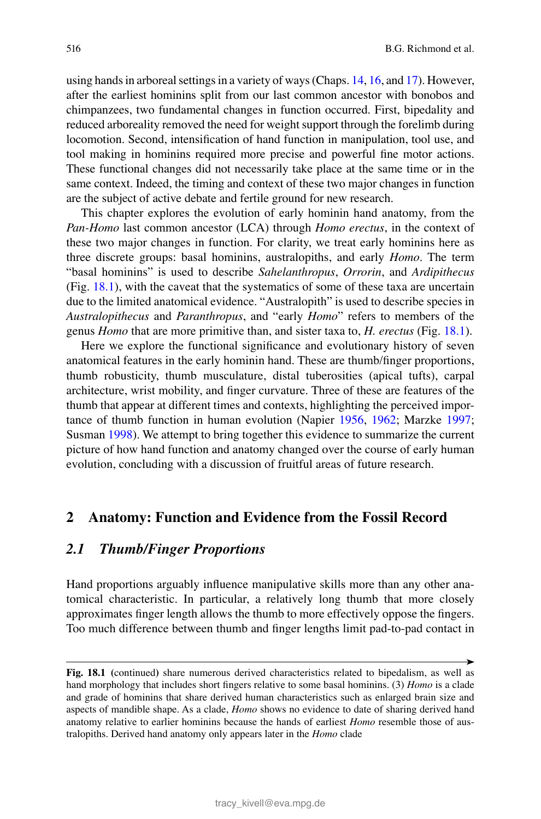using hands in arboreal settings in a variety of ways (Chaps. [14,](http://dx.doi.org/10.1007/978-1-4939-3646-5_14) [16,](http://dx.doi.org/10.1007/978-1-4939-3646-5_16) and [17\)](http://dx.doi.org/10.1007/978-1-4939-3646-5_17). However, after the earliest hominins split from our last common ancestor with bonobos and chimpanzees, two fundamental changes in function occurred. First, bipedality and reduced arboreality removed the need for weight support through the forelimb during locomotion. Second, intensification of hand function in manipulation, tool use, and tool making in hominins required more precise and powerful fine motor actions. These functional changes did not necessarily take place at the same time or in the same context. Indeed, the timing and context of these two major changes in function are the subject of active debate and fertile ground for new research.

 This chapter explores the evolution of early hominin hand anatomy, from the *Pan-Homo* last common ancestor (LCA) through *Homo erectus* , in the context of these two major changes in function. For clarity, we treat early hominins here as three discrete groups: basal hominins, australopiths, and early *Homo* . The term "basal hominins" is used to describe *Sahelanthropus* , *Orrorin* , and *Ardipithecus* (Fig. 18.1 ), with the caveat that the systematics of some of these taxa are uncertain due to the limited anatomical evidence. "Australopith" is used to describe species in Australopithecus and *Paranthropus*, and "early *Homo*" refers to members of the genus *Homo* that are more primitive than, and sister taxa to, *H. erectus* (Fig. 18.1 ).

Here we explore the functional significance and evolutionary history of seven anatomical features in the early hominin hand. These are thumb/finger proportions, thumb robusticity, thumb musculature, distal tuberosities (apical tufts), carpal architecture, wrist mobility, and finger curvature. Three of these are features of the thumb that appear at different times and contexts, highlighting the perceived importance of thumb function in human evolution (Napier 1956, 1962; Marzke 1997; Susman 1998). We attempt to bring together this evidence to summarize the current picture of how hand function and anatomy changed over the course of early human evolution, concluding with a discussion of fruitful areas of future research.

#### **2 Anatomy: Function and Evidence from the Fossil Record**

#### *2.1 Thumb/Finger Proportions*

Hand proportions arguably influence manipulative skills more than any other anatomical characteristic. In particular, a relatively long thumb that more closely approximates finger length allows the thumb to more effectively oppose the fingers. Too much difference between thumb and finger lengths limit pad-to-pad contact in

**Fig. 18.1 (**continued**)** share numerous derived characteristics related to bipedalism, as well as hand morphology that includes short fingers relative to some basal hominins. (3) *Homo* is a clade and grade of hominins that share derived human characteristics such as enlarged brain size and aspects of mandible shape. As a clade, *Homo* shows no evidence to date of sharing derived hand anatomy relative to earlier hominins because the hands of earliest *Homo* resemble those of australopiths. Derived hand anatomy only appears later in the *Homo* clade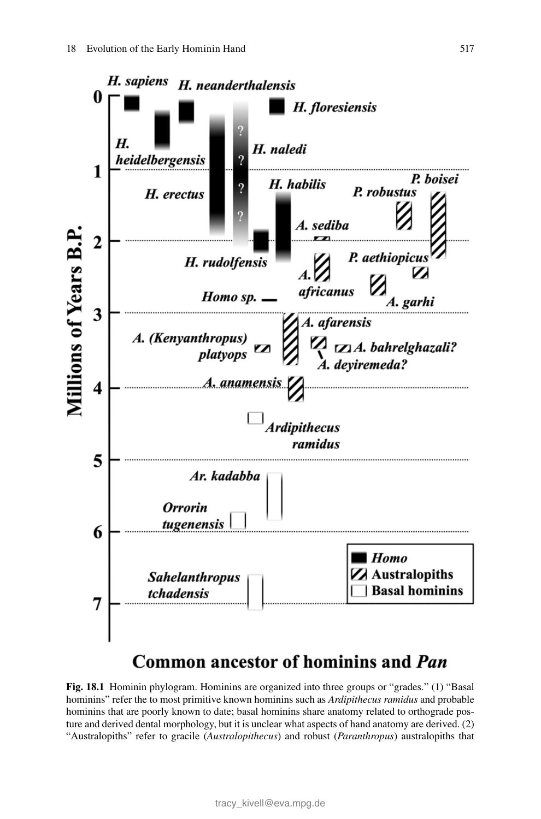

# Common ancestor of hominins and Pan

 **Fig. 18.1** Hominin phylogram. Hominins are organized into three groups or "grades." (1) "Basal hominins" refer the to most primitive known hominins such as *Ardipithecus ramidus* and probable hominins that are poorly known to date; basal hominins share anatomy related to orthograde posture and derived dental morphology, but it is unclear what aspects of hand anatomy are derived. (2) "Australopiths" refer to gracile ( *Australopithecus* ) and robust ( *Paranthropus* ) australopiths that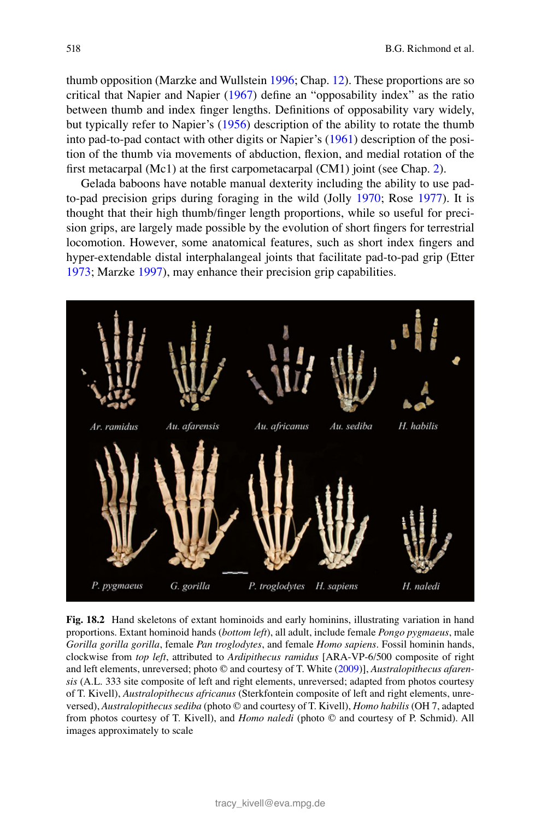thumb opposition (Marzke and Wullstein 1996; Chap. [12](http://dx.doi.org/10.1007/978-1-4939-3646-5_12)). These proportions are so critical that Napier and Napier  $(1967)$  define an "opposability index" as the ratio between thumb and index finger lengths. Definitions of opposability vary widely, but typically refer to Napier's ( 1956 ) description of the ability to rotate the thumb into pad-to-pad contact with other digits or Napier's ( 1961 ) description of the position of the thumb via movements of abduction, flexion, and medial rotation of the first metacarpal (Mc1) at the first carpometacarpal (CM1) joint (see Chap. [2](http://dx.doi.org/10.1007/978-1-4939-3646-5_2)).

 Gelada baboons have notable manual dexterity including the ability to use padto-pad precision grips during foraging in the wild  $(Jolly 1970; Rose 1977)$ . It is thought that their high thumb/finger length proportions, while so useful for precision grips, are largely made possible by the evolution of short fingers for terrestrial locomotion. However, some anatomical features, such as short index fingers and hyper-extendable distal interphalangeal joints that facilitate pad-to-pad grip (Etter 1973; Marzke 1997), may enhance their precision grip capabilities.



 **Fig. 18.2** Hand skeletons of extant hominoids and early hominins, illustrating variation in hand proportions. Extant hominoid hands ( *bottom left*), all adult, include female *Pongo pygmaeus* , male *Gorilla gorilla gorilla*, female *Pan troglodytes*, and female *Homo sapiens*. Fossil hominin hands, clockwise from *top left* , attributed to *Ardipithecus ramidus* [ARA-VP-6/500 composite of right and left elements, unreversed; photo  $\heartsuit$  and courtesy of T. White (2009)], *Australopithecus afarensis* (A.L. 333 site composite of left and right elements, unreversed; adapted from photos courtesy of T. Kivell), *Australopithecus africanus* (Sterkfontein composite of left and right elements, unreversed), *Australopithecus sediba* (photo © and courtesy of T. Kivell), *Homo habilis* (OH 7, adapted from photos courtesy of T. Kivell), and *Homo naledi* (photo © and courtesy of P. Schmid). All images approximately to scale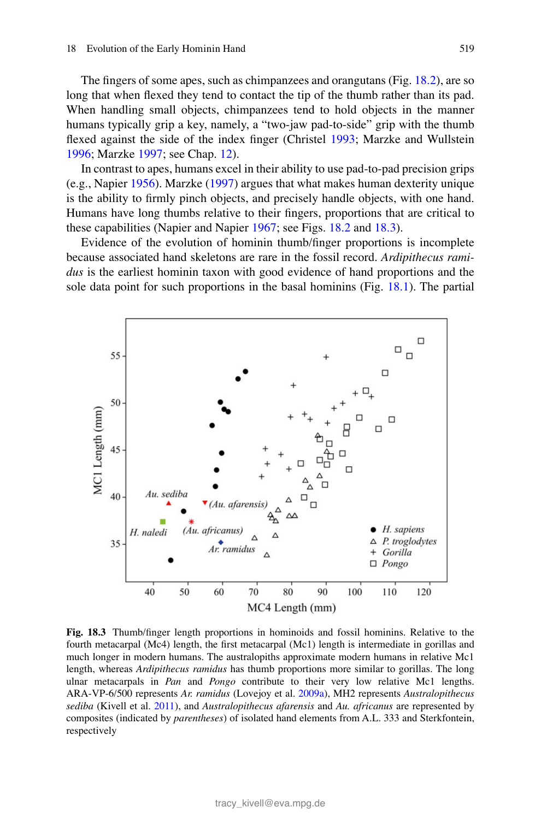The fingers of some apes, such as chimpanzees and orangutans (Fig. 18.2), are so long that when flexed they tend to contact the tip of the thumb rather than its pad. When handling small objects, chimpanzees tend to hold objects in the manner humans typically grip a key, namely, a "two-jaw pad-to-side" grip with the thumb flexed against the side of the index finger (Christel 1993; Marzke and Wullstein 1996; Marzke 1997; see Chap. [12\)](http://dx.doi.org/10.1007/978-1-4939-3646-5_12).

 In contrast to apes, humans excel in their ability to use pad-to-pad precision grips (e.g., Napier 1956 ). Marzke ( 1997 ) argues that what makes human dexterity unique is the ability to firmly pinch objects, and precisely handle objects, with one hand. Humans have long thumbs relative to their fingers, proportions that are critical to these capabilities (Napier and Napier 1967; see Figs. 18.2 and 18.3).

Evidence of the evolution of hominin thumb/finger proportions is incomplete because associated hand skeletons are rare in the fossil record. *Ardipithecus ramidus* is the earliest hominin taxon with good evidence of hand proportions and the sole data point for such proportions in the basal hominins (Fig. 18.1 ). The partial



**Fig. 18.3** Thumb/finger length proportions in hominoids and fossil hominins. Relative to the fourth metacarpal (Mc4) length, the first metacarpal (Mc1) length is intermediate in gorillas and much longer in modern humans. The australopiths approximate modern humans in relative Mc1 length, whereas *Ardipithecus ramidus* has thumb proportions more similar to gorillas. The long ulnar metacarpals in *Pan* and *Pongo* contribute to their very low relative Mc1 lengths. ARA-VP-6/500 represents *Ar. ramidus* (Lovejoy et al. 2009a ), MH2 represents *Australopithecus sediba* (Kivell et al. 2011 ), and *Australopithecus afarensis* and *Au. africanus* are represented by composites (indicated by *parentheses* ) of isolated hand elements from A.L. 333 and Sterkfontein, respectively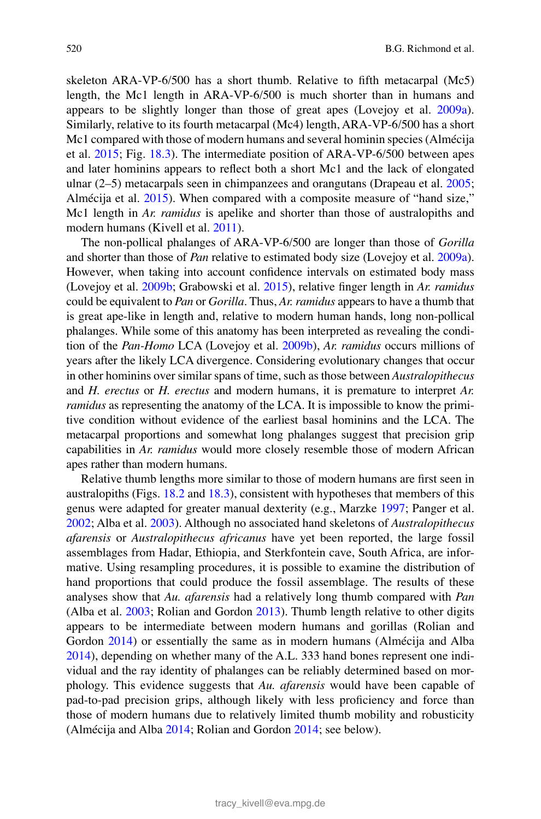skeleton ARA-VP-6/500 has a short thumb. Relative to fifth metacarpal  $(Mc5)$ length, the Mc1 length in ARA-VP-6/500 is much shorter than in humans and appears to be slightly longer than those of great apes (Lovejoy et al.  $2009a$ ). Similarly, relative to its fourth metacarpal (Mc4) length, ARA-VP-6/500 has a short Mc1 compared with those of modern humans and several hominin species (Almécija et al. 2015; Fig. 18.3). The intermediate position of ARA-VP-6/500 between apes and later hominins appears to reflect both a short Mc1 and the lack of elongated ulnar  $(2-5)$  metacarpals seen in chimpanzees and orangutans (Drapeau et al. 2005; Almécija et al. 2015). When compared with a composite measure of "hand size," Mc1 length in *Ar. ramidus* is apelike and shorter than those of australopiths and modern humans (Kivell et al. 2011).

 The non-pollical phalanges of ARA-VP-6/500 are longer than those of *Gorilla* and shorter than those of *Pan* relative to estimated body size (Lovejoy et al. 2009a). However, when taking into account confidence intervals on estimated body mass (Lovejoy et al. 2009b; Grabowski et al. 2015), relative finger length in *Ar. ramidus* could be equivalent to *Pan* or *Gorilla* . Thus, *Ar. ramidus* appears to have a thumb that is great ape-like in length and, relative to modern human hands, long non- pollical phalanges. While some of this anatomy has been interpreted as revealing the condition of the *Pan-Homo* LCA (Lovejoy et al. 2009b), *Ar. ramidus* occurs millions of years after the likely LCA divergence. Considering evolutionary changes that occur in other hominins over similar spans of time, such as those between *Australopithecus* and *H. erectus* or *H. erectus* and modern humans, it is premature to interpret *Ar. ramidus* as representing the anatomy of the LCA. It is impossible to know the primitive condition without evidence of the earliest basal hominins and the LCA. The metacarpal proportions and somewhat long phalanges suggest that precision grip capabilities in *Ar. ramidus* would more closely resemble those of modern African apes rather than modern humans.

Relative thumb lengths more similar to those of modern humans are first seen in australopiths (Figs. 18.2 and 18.3 ), consistent with hypotheses that members of this genus were adapted for greater manual dexterity (e.g., Marzke 1997 ; Panger et al. 2002 ; Alba et al. 2003 ). Although no associated hand skeletons of *Australopithecus afarensis* or *Australopithecus africanus* have yet been reported, the large fossil assemblages from Hadar, Ethiopia, and Sterkfontein cave, South Africa, are informative. Using resampling procedures, it is possible to examine the distribution of hand proportions that could produce the fossil assemblage. The results of these analyses show that *Au. afarensis* had a relatively long thumb compared with *Pan* (Alba et al. 2003; Rolian and Gordon 2013). Thumb length relative to other digits appears to be intermediate between modern humans and gorillas (Rolian and Gordon 2014) or essentially the same as in modern humans (Almécija and Alba 2014 ), depending on whether many of the A.L. 333 hand bones represent one individual and the ray identity of phalanges can be reliably determined based on morphology. This evidence suggests that *Au. afarensis* would have been capable of pad-to-pad precision grips, although likely with less proficiency and force than those of modern humans due to relatively limited thumb mobility and robusticity (Almécija and Alba 2014; Rolian and Gordon 2014; see below).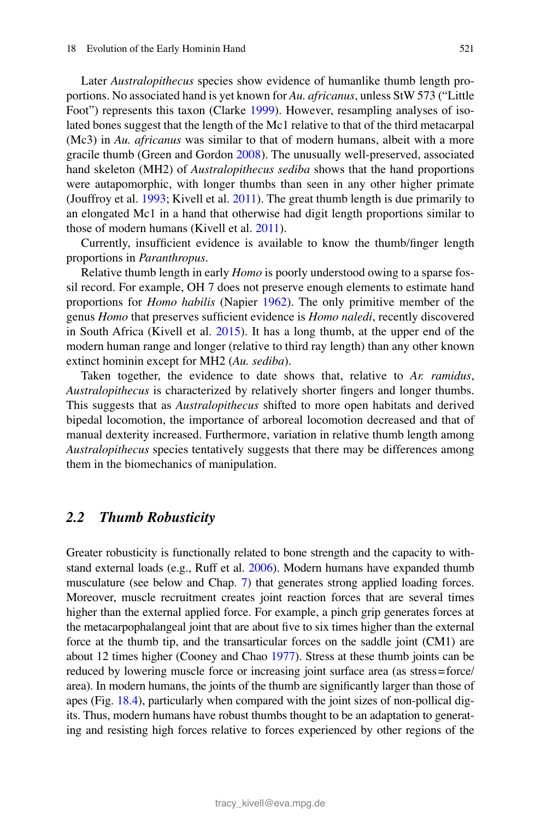Later *Australopithecus* species show evidence of humanlike thumb length proportions. No associated hand is yet known for *Au. africanus* , unless StW 573 ("Little Foot") represents this taxon (Clarke 1999). However, resampling analyses of isolated bones suggest that the length of the Mc1 relative to that of the third metacarpal (Mc3) in *Au. africanus* was similar to that of modern humans, albeit with a more gracile thumb (Green and Gordon 2008). The unusually well-preserved, associated hand skeleton (MH2) of *Australopithecus sediba* shows that the hand proportions were autapomorphic, with longer thumbs than seen in any other higher primate (Jouffroy et al.  $1993$ ; Kivell et al. 2011). The great thumb length is due primarily to an elongated Mc1 in a hand that otherwise had digit length proportions similar to those of modern humans (Kivell et al. 2011).

Currently, insufficient evidence is available to know the thumb/finger length proportions in *Paranthropus* .

 Relative thumb length in early *Homo* is poorly understood owing to a sparse fossil record. For example, OH 7 does not preserve enough elements to estimate hand proportions for *Homo habilis* (Napier 1962 ). The only primitive member of the genus *Homo* that preserves sufficient evidence is *Homo naledi*, recently discovered in South Africa (Kivell et al. 2015 ). It has a long thumb, at the upper end of the modern human range and longer (relative to third ray length) than any other known extinct hominin except for MH<sub>2</sub> (*Au. sediba*).

 Taken together, the evidence to date shows that, relative to *Ar. ramidus* , *Australopithecus* is characterized by relatively shorter fingers and longer thumbs. This suggests that as *Australopithecus* shifted to more open habitats and derived bipedal locomotion, the importance of arboreal locomotion decreased and that of manual dexterity increased. Furthermore, variation in relative thumb length among *Australopithecus* species tentatively suggests that there may be differences among them in the biomechanics of manipulation.

## *2.2 Thumb Robusticity*

 Greater robusticity is functionally related to bone strength and the capacity to withstand external loads (e.g., Ruff et al. 2006). Modern humans have expanded thumb musculature (see below and Chap. [7\)](http://dx.doi.org/10.1007/978-1-4939-3646-5_7) that generates strong applied loading forces. Moreover, muscle recruitment creates joint reaction forces that are several times higher than the external applied force. For example, a pinch grip generates forces at the metacarpophalangeal joint that are about five to six times higher than the external force at the thumb tip, and the transarticular forces on the saddle joint (CM1) are about 12 times higher (Cooney and Chao 1977 ). Stress at these thumb joints can be reduced by lowering muscle force or increasing joint surface area (as stress = force/ area). In modern humans, the joints of the thumb are significantly larger than those of apes (Fig. 18.4), particularly when compared with the joint sizes of non-pollical digits. Thus, modern humans have robust thumbs thought to be an adaptation to generating and resisting high forces relative to forces experienced by other regions of the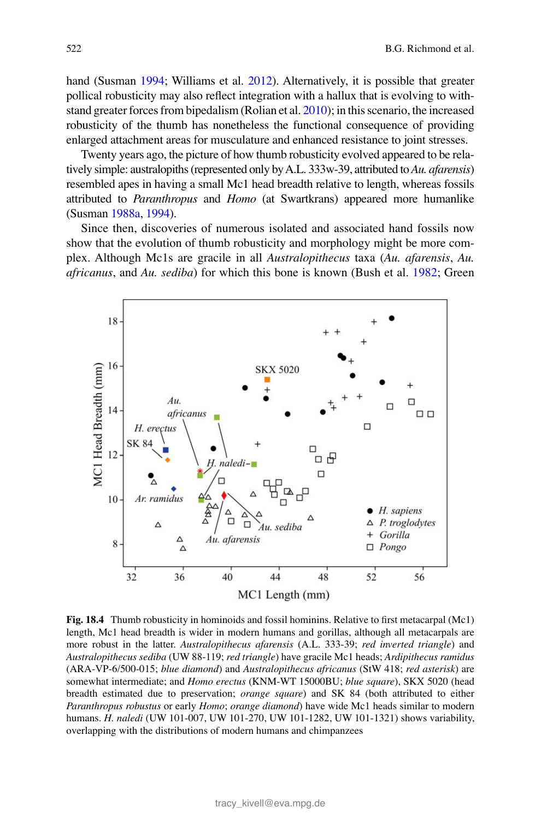hand (Susman 1994; Williams et al. 2012). Alternatively, it is possible that greater pollical robusticity may also reflect integration with a hallux that is evolving to withstand greater forces from bipedalism (Rolian et al. 2010 ); in this scenario, the increased robusticity of the thumb has nonetheless the functional consequence of providing enlarged attachment areas for musculature and enhanced resistance to joint stresses.

 Twenty years ago, the picture of how thumb robusticity evolved appeared to be relatively simple: australopiths (represented only by A.L. 333w-39, attributed to *Au. afarensis* ) resembled apes in having a small Mc1 head breadth relative to length, whereas fossils attributed to *Paranthropus* and *Homo* (at Swartkrans) appeared more humanlike (Susman 1988a, 1994).

 Since then, discoveries of numerous isolated and associated hand fossils now show that the evolution of thumb robusticity and morphology might be more complex. Although Mc1s are gracile in all *Australopithecus* taxa ( *Au. afarensis* , *Au. africanus*, and *Au. sediba*) for which this bone is known (Bush et al. 1982; Green



Fig. 18.4 Thumb robusticity in hominoids and fossil hominins. Relative to first metacarpal (Mc1) length, Mc1 head breadth is wider in modern humans and gorillas, although all metacarpals are more robust in the latter. *Australopithecus afarensis* (A.L. 333-39; *red inverted triangle* ) and *Australopithecus sediba* (UW 88-119; *red triangle* ) have gracile Mc1 heads; *Ardipithecus ramidus* (ARA-VP-6/500-015; *blue diamond* ) and *Australopithecus africanus* (StW 418; *red asterisk* ) are somewhat intermediate; and *Homo erectus* (KNM-WT 15000BU; *blue square* ), SKX 5020 (head breadth estimated due to preservation; *orange square* ) and SK 84 (both attributed to either *Paranthropus robustus* or early *Homo*; *orange diamond*) have wide Mc1 heads similar to modern humans. *H. naledi* (UW 101-007, UW 101-270, UW 101-1282, UW 101-1321) shows variability, overlapping with the distributions of modern humans and chimpanzees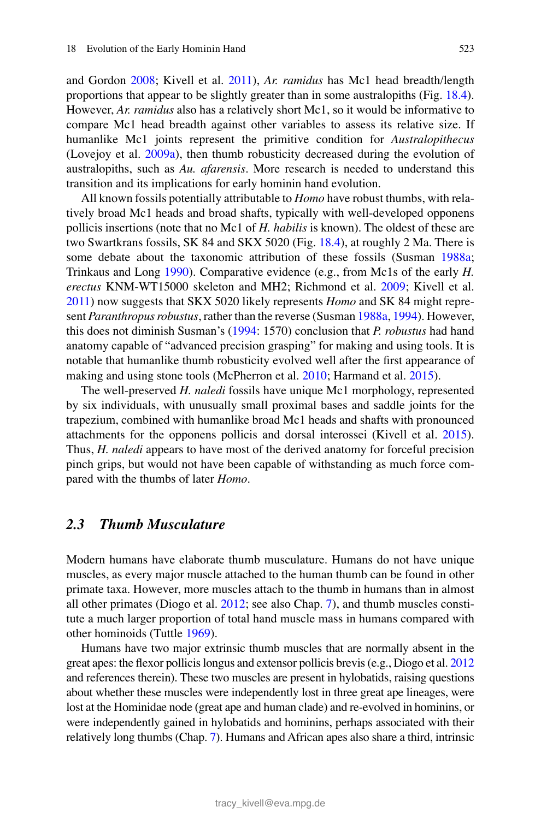and Gordon 2008; Kivell et al. 2011), *Ar. ramidus* has Mc1 head breadth/length proportions that appear to be slightly greater than in some australopiths (Fig. 18.4 ). However, *Ar. ramidus* also has a relatively short Mc1, so it would be informative to compare Mc1 head breadth against other variables to assess its relative size. If humanlike Mc1 joints represent the primitive condition for *Australopithecus* (Lovejoy et al.  $2009a$ ), then thumb robusticity decreased during the evolution of australopiths, such as *Au. afarensis* . More research is needed to understand this transition and its implications for early hominin hand evolution.

 All known fossils potentially attributable to *Homo* have robust thumbs, with relatively broad Mc1 heads and broad shafts, typically with well-developed opponens pollicis insertions (note that no Mc1 of *H. habilis* is known). The oldest of these are two Swartkrans fossils, SK 84 and SKX 5020 (Fig. 18.4 ), at roughly 2 Ma. There is some debate about the taxonomic attribution of these fossils (Susman 1988a; Trinkaus and Long 1990). Comparative evidence (e.g., from Mc1s of the early *H. erectus* KNM-WT15000 skeleton and MH2; Richmond et al. 2009; Kivell et al. 2011 ) now suggests that SKX 5020 likely represents *Homo* and SK 84 might represent *Paranthropus robustus* , rather than the reverse (Susman 1988a , 1994 ). However, this does not diminish Susman's ( 1994 : 1570) conclusion that *P. robustus* had hand anatomy capable of "advanced precision grasping" for making and using tools. It is notable that humanlike thumb robusticity evolved well after the first appearance of making and using stone tools (McPherron et al. 2010; Harmand et al. 2015).

 The well-preserved *H. naledi* fossils have unique Mc1 morphology, represented by six individuals, with unusually small proximal bases and saddle joints for the trapezium, combined with humanlike broad Mc1 heads and shafts with pronounced attachments for the opponens pollicis and dorsal interossei (Kivell et al. 2015 ). Thus, *H. naledi* appears to have most of the derived anatomy for forceful precision pinch grips, but would not have been capable of withstanding as much force compared with the thumbs of later *Homo* .

### *2.3 Thumb Musculature*

 Modern humans have elaborate thumb musculature. Humans do not have unique muscles, as every major muscle attached to the human thumb can be found in other primate taxa. However, more muscles attach to the thumb in humans than in almost all other primates (Diogo et al. 2012 ; see also Chap. [7\)](http://dx.doi.org/10.1007/978-1-4939-3646-5_7), and thumb muscles constitute a much larger proportion of total hand muscle mass in humans compared with other hominoids (Tuttle 1969).

 Humans have two major extrinsic thumb muscles that are normally absent in the great apes: the flexor pollicis longus and extensor pollicis brevis (e.g., Diogo et al.  $2012$ and references therein). These two muscles are present in hylobatids, raising questions about whether these muscles were independently lost in three great ape lineages, were lost at the Hominidae node (great ape and human clade) and re-evolved in hominins, or were independently gained in hylobatids and hominins, perhaps associated with their relatively long thumbs (Chap. [7\)](http://dx.doi.org/10.1007/978-1-4939-3646-5_7). Humans and African apes also share a third, intrinsic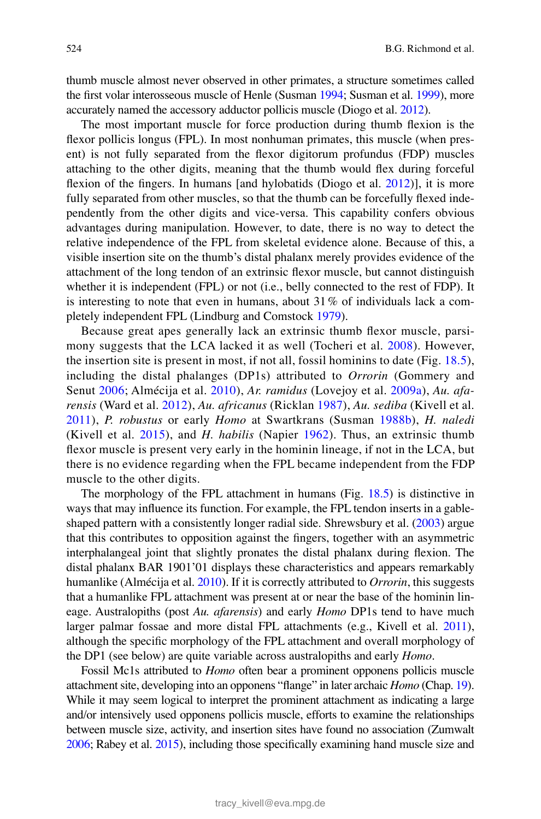thumb muscle almost never observed in other primates, a structure sometimes called the first volar interosseous muscle of Henle (Susman 1994; Susman et al. 1999), more accurately named the accessory adductor pollicis muscle (Diogo et al. 2012 ).

The most important muscle for force production during thumb flexion is the flexor pollicis longus (FPL). In most nonhuman primates, this muscle (when present) is not fully separated from the flexor digitorum profundus (FDP) muscles attaching to the other digits, meaning that the thumb would flex during forceful flexion of the fingers. In humans [and hylobatids (Diogo et al.  $2012$ )], it is more fully separated from other muscles, so that the thumb can be forcefully flexed independently from the other digits and vice-versa. This capability confers obvious advantages during manipulation. However, to date, there is no way to detect the relative independence of the FPL from skeletal evidence alone. Because of this, a visible insertion site on the thumb's distal phalanx merely provides evidence of the attachment of the long tendon of an extrinsic flexor muscle, but cannot distinguish whether it is independent (FPL) or not (i.e., belly connected to the rest of FDP). It is interesting to note that even in humans, about 31 % of individuals lack a completely independent FPL (Lindburg and Comstock 1979).

Because great apes generally lack an extrinsic thumb flexor muscle, parsimony suggests that the LCA lacked it as well (Tocheri et al. 2008). However, the insertion site is present in most, if not all, fossil hominins to date (Fig. 18.5 ), including the distal phalanges (DP1s) attributed to *Orrorin* (Gommery and Senut 2006; Almécija et al. 2010), *Ar. ramidus* (Lovejoy et al. 2009a), *Au. afarensis* (Ward et al. 2012 ), *Au. africanus* (Ricklan 1987 ), *Au. sediba* (Kivell et al. 2011), *P. robustus* or early *Homo* at Swartkrans (Susman 1988b), *H. naledi* (Kivell et al. 2015), and *H. habilis* (Napier 1962). Thus, an extrinsic thumb flexor muscle is present very early in the hominin lineage, if not in the LCA, but there is no evidence regarding when the FPL became independent from the FDP muscle to the other digits.

The morphology of the FPL attachment in humans (Fig.  $18.5$ ) is distinctive in ways that may influence its function. For example, the FPL tendon inserts in a gableshaped pattern with a consistently longer radial side. Shrewsbury et al. (2003) argue that this contributes to opposition against the fingers, together with an asymmetric interphalangeal joint that slightly pronates the distal phalanx during flexion. The distal phalanx BAR 1901'01 displays these characteristics and appears remarkably humanlike (Almécija et al. 2010 ). If it is correctly attributed to *Orrorin* , this suggests that a humanlike FPL attachment was present at or near the base of the hominin lineage. Australopiths (post *Au. afarensis* ) and early *Homo* DP1s tend to have much larger palmar fossae and more distal FPL attachments (e.g., Kivell et al. 2011), although the specific morphology of the FPL attachment and overall morphology of the DP1 (see below) are quite variable across australopiths and early *Homo* .

 Fossil Mc1s attributed to *Homo* often bear a prominent opponens pollicis muscle attachment site, developing into an opponens "flange" in later archaic *Homo* (Chap. [19\)](http://dx.doi.org/10.1007/978-1-4939-3646-5_19). While it may seem logical to interpret the prominent attachment as indicating a large and/or intensively used opponens pollicis muscle, efforts to examine the relationships between muscle size, activity, and insertion sites have found no association (Zumwalt  $2006$ ; Rabey et al.  $2015$ ), including those specifically examining hand muscle size and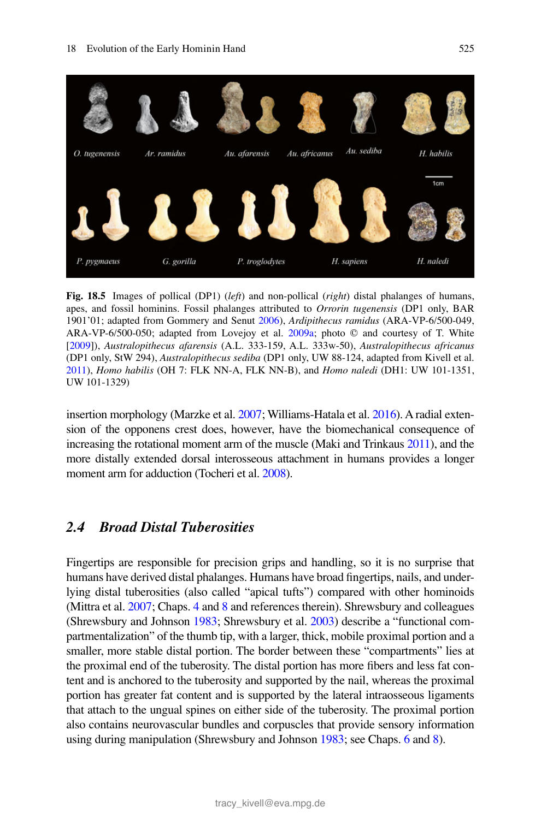

**Fig. 18.5** Images of pollical (DP1) (*left*) and non-pollical (*right*) distal phalanges of humans, apes, and fossil hominins. Fossil phalanges attributed to *Orrorin tugenensis* (DP1 only, BAR 1901'01; adapted from Gommery and Senut 2006 ), *Ardipithecus ramidus* (ARA-VP-6/500-049, ARA-VP-6/500-050; adapted from Lovejoy et al.  $2009a$ ; photo  $\odot$  and courtesy of T. White [ 2009 ]), *Australopithecus afarensis* (A.L. 333-159, A.L. 333w-50), *Australopithecus africanus* (DP1 only, StW 294), *Australopithecus sediba* (DP1 only, UW 88-124, adapted from Kivell et al. 2011 ), *Homo habilis* (OH 7: FLK NN-A, FLK NN-B), and *Homo naledi* (DH1: UW 101-1351, UW 101-1329)

insertion morphology (Marzke et al. 2007; Williams-Hatala et al. 2016). A radial extension of the opponens crest does, however, have the biomechanical consequence of increasing the rotational moment arm of the muscle (Maki and Trinkaus 2011), and the more distally extended dorsal interosseous attachment in humans provides a longer moment arm for adduction (Tocheri et al. 2008).

### *2.4 Broad Distal Tuberosities*

 Fingertips are responsible for precision grips and handling, so it is no surprise that humans have derived distal phalanges. Humans have broad fingertips, nails, and underlying distal tuberosities (also called "apical tufts") compared with other hominoids (Mittra et al. 2007; Chaps. [4](http://dx.doi.org/10.1007/978-1-4939-3646-5_4) and [8](http://dx.doi.org/10.1007/978-1-4939-3646-5_8) and references therein). Shrewsbury and colleagues (Shrewsbury and Johnson 1983 ; Shrewsbury et al. 2003 ) describe a "functional compartmentalization" of the thumb tip, with a larger, thick, mobile proximal portion and a smaller, more stable distal portion. The border between these "compartments" lies at the proximal end of the tuberosity. The distal portion has more fibers and less fat content and is anchored to the tuberosity and supported by the nail, whereas the proximal portion has greater fat content and is supported by the lateral intraosseous ligaments that attach to the ungual spines on either side of the tuberosity. The proximal portion also contains neurovascular bundles and corpuscles that provide sensory information using during manipulation (Shrewsbury and Johnson 1983; see Chaps. [6](http://dx.doi.org/10.1007/978-1-4939-3646-5_6) and [8\)](http://dx.doi.org/10.1007/978-1-4939-3646-5_8).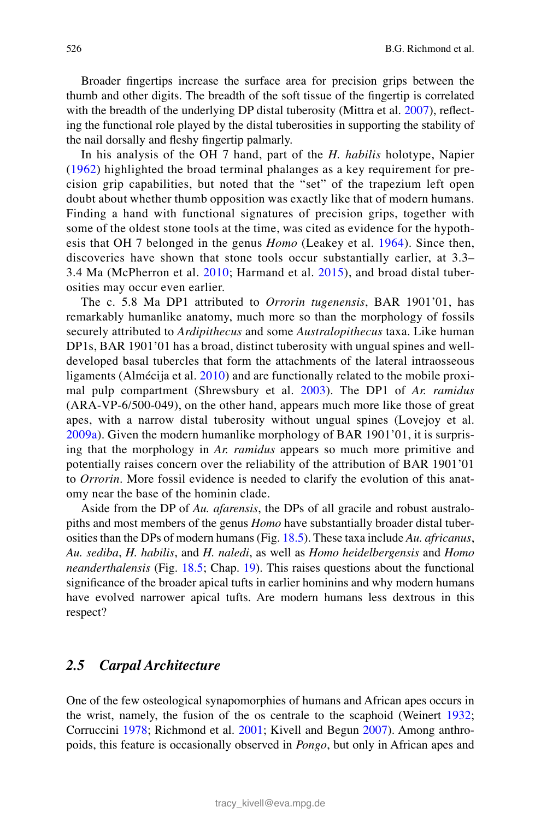Broader fingertips increase the surface area for precision grips between the thumb and other digits. The breadth of the soft tissue of the fingertip is correlated with the breadth of the underlying DP distal tuberosity (Mittra et al.  $2007$ ), reflecting the functional role played by the distal tuberosities in supporting the stability of the nail dorsally and fleshy fingertip palmarly.

 In his analysis of the OH 7 hand, part of the *H. habilis* holotype, Napier  $(1962)$  highlighted the broad terminal phalanges as a key requirement for precision grip capabilities, but noted that the "set" of the trapezium left open doubt about whether thumb opposition was exactly like that of modern humans. Finding a hand with functional signatures of precision grips, together with some of the oldest stone tools at the time, was cited as evidence for the hypothesis that OH 7 belonged in the genus *Homo* (Leakey et al. 1964). Since then, discoveries have shown that stone tools occur substantially earlier, at 3.3– 3.4 Ma (McPherron et al.  $2010$ ; Harmand et al.  $2015$ ), and broad distal tuberosities may occur even earlier.

 The c. 5.8 Ma DP1 attributed to *Orrorin tugenensis* , BAR 1901'01, has remarkably humanlike anatomy, much more so than the morphology of fossils securely attributed to *Ardipithecus* and some *Australopithecus* taxa. Like human DP1s, BAR 1901'01 has a broad, distinct tuberosity with ungual spines and welldeveloped basal tubercles that form the attachments of the lateral intraosseous ligaments (Almécija et al. 2010) and are functionally related to the mobile proximal pulp compartment (Shrewsbury et al. 2003 ). The DP1 of *Ar. ramidus* (ARA-VP-6/500-049), on the other hand, appears much more like those of great apes, with a narrow distal tuberosity without ungual spines (Lovejoy et al.  $2009a$ . Given the modern humanlike morphology of BAR 1901'01, it is surprising that the morphology in *Ar. ramidus* appears so much more primitive and potentially raises concern over the reliability of the attribution of BAR 1901'01 to *Orrorin* . More fossil evidence is needed to clarify the evolution of this anatomy near the base of the hominin clade.

 Aside from the DP of *Au. afarensis* , the DPs of all gracile and robust australopiths and most members of the genus *Homo* have substantially broader distal tuberosities than the DPs of modern humans (Fig. 18.5 ). These taxa include *Au. africanus* , *Au. sediba* , *H. habilis* , and *H. naledi* , as well as *Homo heidelbergensis* and *Homo neanderthalensis* (Fig. 18.5; Chap. [19\)](http://dx.doi.org/10.1007/978-1-4939-3646-5_19). This raises questions about the functional significance of the broader apical tufts in earlier hominins and why modern humans have evolved narrower apical tufts. Are modern humans less dextrous in this respect?

#### *2.5 Carpal Architecture*

 One of the few osteological synapomorphies of humans and African apes occurs in the wrist, namely, the fusion of the os centrale to the scaphoid (Weinert 1932; Corruccini 1978; Richmond et al. 2001; Kivell and Begun 2007). Among anthropoids, this feature is occasionally observed in *Pongo* , but only in African apes and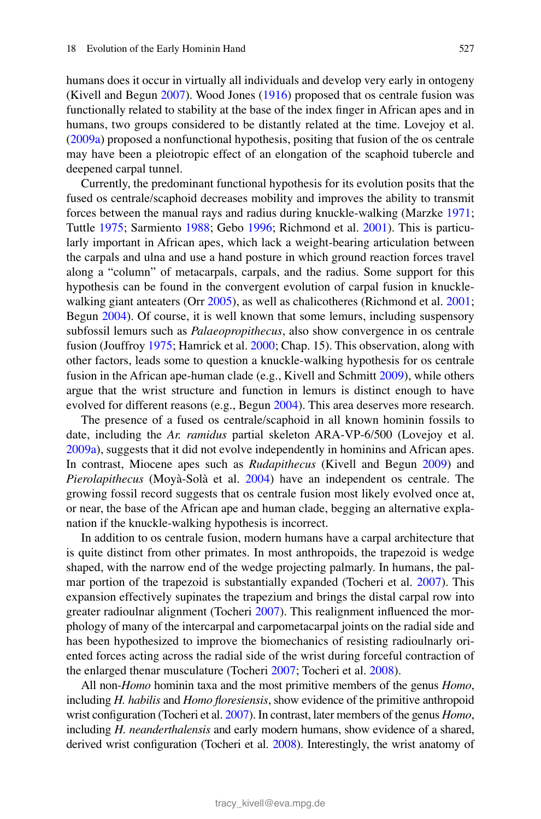humans does it occur in virtually all individuals and develop very early in ontogeny (Kivell and Begun  $2007$ ). Wood Jones (1916) proposed that os centrale fusion was functionally related to stability at the base of the index finger in African apes and in humans, two groups considered to be distantly related at the time. Lovejoy et al. ( 2009a ) proposed a nonfunctional hypothesis, positing that fusion of the os centrale may have been a pleiotropic effect of an elongation of the scaphoid tubercle and deepened carpal tunnel.

 Currently, the predominant functional hypothesis for its evolution posits that the fused os centrale/scaphoid decreases mobility and improves the ability to transmit forces between the manual rays and radius during knuckle-walking (Marzke 1971; Tuttle 1975; Sarmiento 1988; Gebo 1996; Richmond et al. 2001). This is particularly important in African apes, which lack a weight-bearing articulation between the carpals and ulna and use a hand posture in which ground reaction forces travel along a "column" of metacarpals, carpals, and the radius. Some support for this hypothesis can be found in the convergent evolution of carpal fusion in knucklewalking giant anteaters (Orr 2005), as well as chalicotheres (Richmond et al. 2001; Begun 2004). Of course, it is well known that some lemurs, including suspensory subfossil lemurs such as *Palaeopropithecus* , also show convergence in os centrale fusion (Jouffroy 1975; Hamrick et al. 2000; Chap. 15). This observation, along with other factors, leads some to question a knuckle-walking hypothesis for os centrale fusion in the African ape-human clade (e.g., Kivell and Schmitt 2009), while others argue that the wrist structure and function in lemurs is distinct enough to have evolved for different reasons (e.g., Begun 2004). This area deserves more research.

 The presence of a fused os centrale/scaphoid in all known hominin fossils to date, including the *Ar. ramidus* partial skeleton ARA-VP-6/500 (Lovejoy et al. 2009a), suggests that it did not evolve independently in hominins and African apes. In contrast, Miocene apes such as *Rudapithecus* (Kivell and Begun 2009) and *Pierolapithecus* (Moyà-Solà et al. 2004) have an independent os centrale. The growing fossil record suggests that os centrale fusion most likely evolved once at, or near, the base of the African ape and human clade, begging an alternative explanation if the knuckle-walking hypothesis is incorrect.

 In addition to os centrale fusion, modern humans have a carpal architecture that is quite distinct from other primates. In most anthropoids, the trapezoid is wedge shaped, with the narrow end of the wedge projecting palmarly. In humans, the palmar portion of the trapezoid is substantially expanded (Tocheri et al. 2007 ). This expansion effectively supinates the trapezium and brings the distal carpal row into greater radioulnar alignment (Tocheri  $2007$ ). This realignment influenced the morphology of many of the intercarpal and carpometacarpal joints on the radial side and has been hypothesized to improve the biomechanics of resisting radioulnarly oriented forces acting across the radial side of the wrist during forceful contraction of the enlarged thenar musculature (Tocheri 2007; Tocheri et al. 2008).

All non-*Homo* hominin taxa and the most primitive members of the genus *Homo*, including *H. habilis* and *Homo floresiensis*, show evidence of the primitive anthropoid wrist configuration (Tocheri et al. 2007). In contrast, later members of the genus *Homo*, including *H. neanderthalensis* and early modern humans, show evidence of a shared, derived wrist configuration (Tocheri et al.  $2008$ ). Interestingly, the wrist anatomy of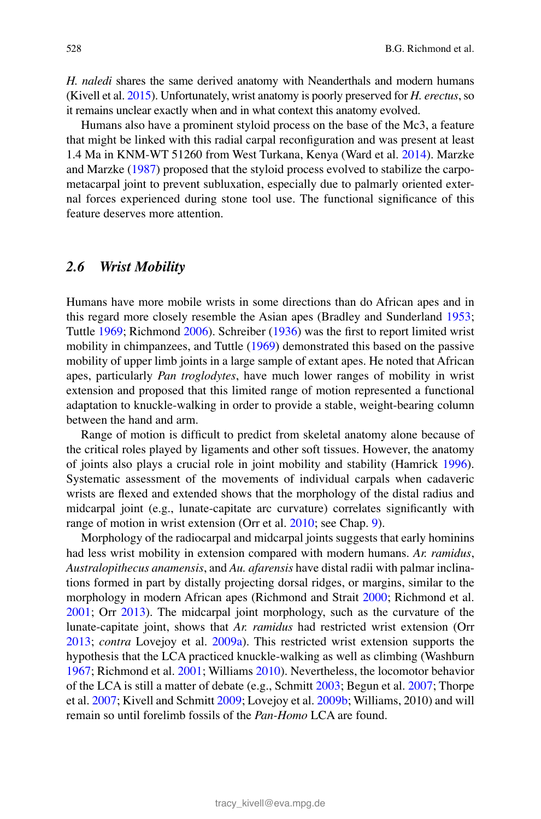*H. naledi* shares the same derived anatomy with Neanderthals and modern humans (Kivell et al. 2015 ). Unfortunately, wrist anatomy is poorly preserved for *H. erectus* , so it remains unclear exactly when and in what context this anatomy evolved.

 Humans also have a prominent styloid process on the base of the Mc3, a feature that might be linked with this radial carpal reconfiguration and was present at least 1.4 Ma in KNM-WT 51260 from West Turkana, Kenya (Ward et al. 2014 ). Marzke and Marzke ( 1987 ) proposed that the styloid process evolved to stabilize the carpometacarpal joint to prevent subluxation, especially due to palmarly oriented external forces experienced during stone tool use. The functional significance of this feature deserves more attention.

### *2.6 Wrist Mobility*

 Humans have more mobile wrists in some directions than do African apes and in this regard more closely resemble the Asian apes (Bradley and Sunderland 1953 ; Tuttle  $1969$ ; Richmond  $2006$ ). Schreiber (1936) was the first to report limited wrist mobility in chimpanzees, and Tuttle ( 1969 ) demonstrated this based on the passive mobility of upper limb joints in a large sample of extant apes. He noted that African apes, particularly *Pan troglodytes* , have much lower ranges of mobility in wrist extension and proposed that this limited range of motion represented a functional adaptation to knuckle-walking in order to provide a stable, weight-bearing column between the hand and arm.

Range of motion is difficult to predict from skeletal anatomy alone because of the critical roles played by ligaments and other soft tissues. However, the anatomy of joints also plays a crucial role in joint mobility and stability (Hamrick 1996). Systematic assessment of the movements of individual carpals when cadaveric wrists are flexed and extended shows that the morphology of the distal radius and midcarpal joint (e.g., lunate-capitate arc curvature) correlates significantly with range of motion in wrist extension (Orr et al. 2010; see Chap. [9](http://dx.doi.org/10.1007/978-1-4939-3646-5_9)).

 Morphology of the radiocarpal and midcarpal joints suggests that early hominins had less wrist mobility in extension compared with modern humans. *Ar. ramidus* , *Australopithecus anamensis* , and *Au. afarensis* have distal radii with palmar inclinations formed in part by distally projecting dorsal ridges, or margins, similar to the morphology in modern African apes (Richmond and Strait 2000; Richmond et al.  $2001$ ; Orr  $2013$ ). The midcarpal joint morphology, such as the curvature of the lunate-capitate joint, shows that *Ar. ramidus* had restricted wrist extension (Orr 2013; *contra* Lovejoy et al. 2009a). This restricted wrist extension supports the hypothesis that the LCA practiced knuckle-walking as well as climbing (Washburn 1967; Richmond et al. 2001; Williams 2010). Nevertheless, the locomotor behavior of the LCA is still a matter of debate (e.g., Schmitt 2003 ; Begun et al. 2007 ; Thorpe et al. 2007; Kivell and Schmitt 2009; Lovejoy et al. 2009b; Williams, 2010) and will remain so until forelimb fossils of the *Pan-Homo* LCA are found.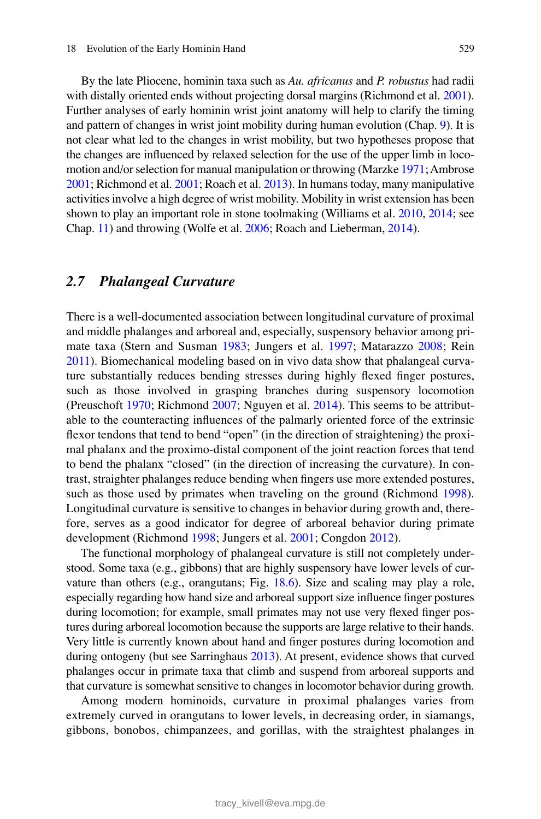By the late Pliocene, hominin taxa such as *Au. africanus* and *P. robustus* had radii with distally oriented ends without projecting dorsal margins (Richmond et al. 2001). Further analyses of early hominin wrist joint anatomy will help to clarify the timing and pattern of changes in wrist joint mobility during human evolution (Chap. [9](http://dx.doi.org/10.1007/978-1-4939-3646-5_9)). It is not clear what led to the changes in wrist mobility, but two hypotheses propose that the changes are influenced by relaxed selection for the use of the upper limb in locomotion and/or selection for manual manipulation or throwing (Marzke 1971 ; Ambrose 2001 ; Richmond et al. 2001 ; Roach et al. 2013 ). In humans today, many manipulative activities involve a high degree of wrist mobility. Mobility in wrist extension has been shown to play an important role in stone toolmaking (Williams et al. 2010, 2014; see Chap. [11\)](http://dx.doi.org/10.1007/978-1-4939-3646-5_11) and throwing (Wolfe et al. 2006; Roach and Lieberman, 2014).

### *2.7 Phalangeal Curvature*

 There is a well-documented association between longitudinal curvature of proximal and middle phalanges and arboreal and, especially, suspensory behavior among primate taxa (Stern and Susman 1983; Jungers et al. 1997; Matarazzo 2008; Rein 2011 ). Biomechanical modeling based on in vivo data show that phalangeal curvature substantially reduces bending stresses during highly flexed finger postures, such as those involved in grasping branches during suspensory locomotion (Preuschoft 1970; Richmond 2007; Nguyen et al.  $2014$ ). This seems to be attributable to the counteracting influences of the palmarly oriented force of the extrinsic flexor tendons that tend to bend "open" (in the direction of straightening) the proximal phalanx and the proximo-distal component of the joint reaction forces that tend to bend the phalanx "closed" (in the direction of increasing the curvature). In contrast, straighter phalanges reduce bending when fingers use more extended postures, such as those used by primates when traveling on the ground (Richmond 1998). Longitudinal curvature is sensitive to changes in behavior during growth and, therefore, serves as a good indicator for degree of arboreal behavior during primate development (Richmond 1998; Jungers et al. 2001; Congdon 2012).

 The functional morphology of phalangeal curvature is still not completely understood. Some taxa (e.g., gibbons) that are highly suspensory have lower levels of curvature than others (e.g., orangutans; Fig. 18.6 ). Size and scaling may play a role, especially regarding how hand size and arboreal support size influence finger postures during locomotion; for example, small primates may not use very flexed finger postures during arboreal locomotion because the supports are large relative to their hands. Very little is currently known about hand and finger postures during locomotion and during ontogeny (but see Sarringhaus 2013). At present, evidence shows that curved phalanges occur in primate taxa that climb and suspend from arboreal supports and that curvature is somewhat sensitive to changes in locomotor behavior during growth.

 Among modern hominoids, curvature in proximal phalanges varies from extremely curved in orangutans to lower levels, in decreasing order, in siamangs, gibbons, bonobos, chimpanzees, and gorillas, with the straightest phalanges in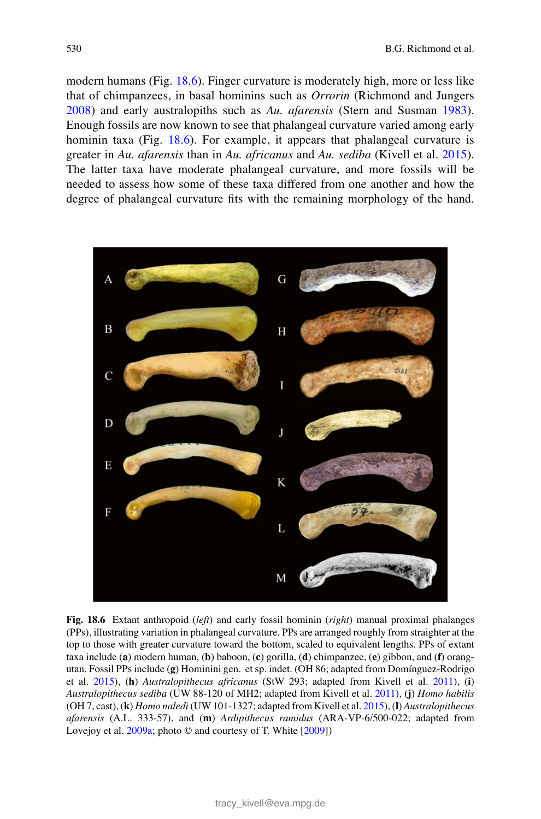modern humans (Fig. 18.6). Finger curvature is moderately high, more or less like that of chimpanzees, in basal hominins such as *Orrorin* (Richmond and Jungers 2008) and early australopiths such as *Au. afarensis* (Stern and Susman 1983). Enough fossils are now known to see that phalangeal curvature varied among early hominin taxa (Fig. 18.6). For example, it appears that phalangeal curvature is greater in *Au. afarensis* than in *Au. africanus* and *Au. sediba* (Kivell et al. 2015 ). The latter taxa have moderate phalangeal curvature, and more fossils will be needed to assess how some of these taxa differed from one another and how the degree of phalangeal curvature fits with the remaining morphology of the hand.



 **Fig. 18.6** Extant anthropoid ( *left* ) and early fossil hominin ( *right* ) manual proximal phalanges (PPs), illustrating variation in phalangeal curvature. PPs are arranged roughly from straighter at the top to those with greater curvature toward the bottom, scaled to equivalent lengths. PPs of extant taxa include ( **a** ) modern human, ( **b** ) baboon, ( **c** ) gorilla, ( **d** ) chimpanzee, ( **e** ) gibbon, and ( **f** ) orangutan. Fossil PPs include (g) Hominini gen. et sp. indet. (OH 86; adapted from Domínguez-Rodrigo et al. 2015), (h) *Australopithecus africanus* (StW 293; adapted from Kivell et al. 2011), (i) *Australopithecus sediba* (UW 88-120 of MH2; adapted from Kivell et al. 2011), (*j*) *Homo habilis* (OH 7, cast), ( **k** ) *Homo naledi* (UW 101-1327; adapted from Kivell et al. 2015 ), ( **l** ) *Australopithecus afarensis* (A.L. 333-57), and ( **m** ) *Ardipithecus ramidus* (ARA-VP-6/500-022; adapted from Lovejoy et al.  $2009a$ ; photo  $\odot$  and courtesy of T. White [2009])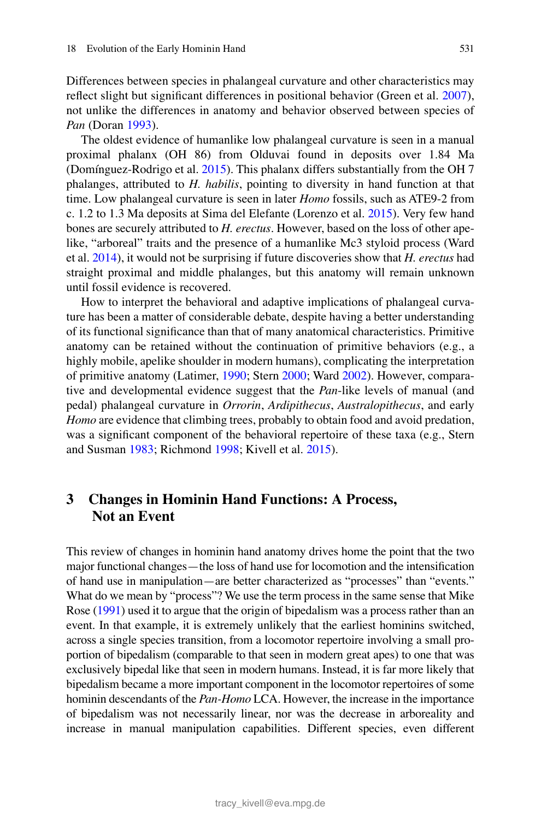Differences between species in phalangeal curvature and other characteristics may reflect slight but significant differences in positional behavior (Green et al. 2007), not unlike the differences in anatomy and behavior observed between species of *Pan* (Doran 1993).

 The oldest evidence of humanlike low phalangeal curvature is seen in a manual proximal phalanx (OH 86) from Olduvai found in deposits over 1.84 Ma (Domínguez-Rodrigo et al. 2015 ). This phalanx differs substantially from the OH 7 phalanges, attributed to *H. habilis* , pointing to diversity in hand function at that time. Low phalangeal curvature is seen in later *Homo* fossils, such as ATE9-2 from c. 1.2 to 1.3 Ma deposits at Sima del Elefante (Lorenzo et al. 2015 ). Very few hand bones are securely attributed to *H. erectus* . However, based on the loss of other apelike, "arboreal" traits and the presence of a humanlike Mc3 styloid process (Ward et al. 2014 ), it would not be surprising if future discoveries show that *H. erectus* had straight proximal and middle phalanges, but this anatomy will remain unknown until fossil evidence is recovered.

 How to interpret the behavioral and adaptive implications of phalangeal curvature has been a matter of considerable debate, despite having a better understanding of its functional significance than that of many anatomical characteristics. Primitive anatomy can be retained without the continuation of primitive behaviors (e.g., a highly mobile, apelike shoulder in modern humans), complicating the interpretation of primitive anatomy (Latimer, 1990; Stern 2000; Ward 2002). However, comparative and developmental evidence suggest that the *Pan* -like levels of manual (and pedal) phalangeal curvature in *Orrorin* , *Ardipithecus* , *Australopithecus* , and early *Homo* are evidence that climbing trees, probably to obtain food and avoid predation, was a significant component of the behavioral repertoire of these taxa (e.g., Stern and Susman 1983; Richmond 1998; Kivell et al. 2015).

## **3 Changes in Hominin Hand Functions: A Process, Not an Event**

 This review of changes in hominin hand anatomy drives home the point that the two major functional changes—the loss of hand use for locomotion and the intensification of hand use in manipulation—are better characterized as "processes" than "events." What do we mean by "process"? We use the term process in the same sense that Mike Rose (1991) used it to argue that the origin of bipedalism was a process rather than an event. In that example, it is extremely unlikely that the earliest hominins switched, across a single species transition, from a locomotor repertoire involving a small proportion of bipedalism (comparable to that seen in modern great apes) to one that was exclusively bipedal like that seen in modern humans. Instead, it is far more likely that bipedalism became a more important component in the locomotor repertoires of some hominin descendants of the *Pan-Homo* LCA. However, the increase in the importance of bipedalism was not necessarily linear, nor was the decrease in arboreality and increase in manual manipulation capabilities. Different species, even different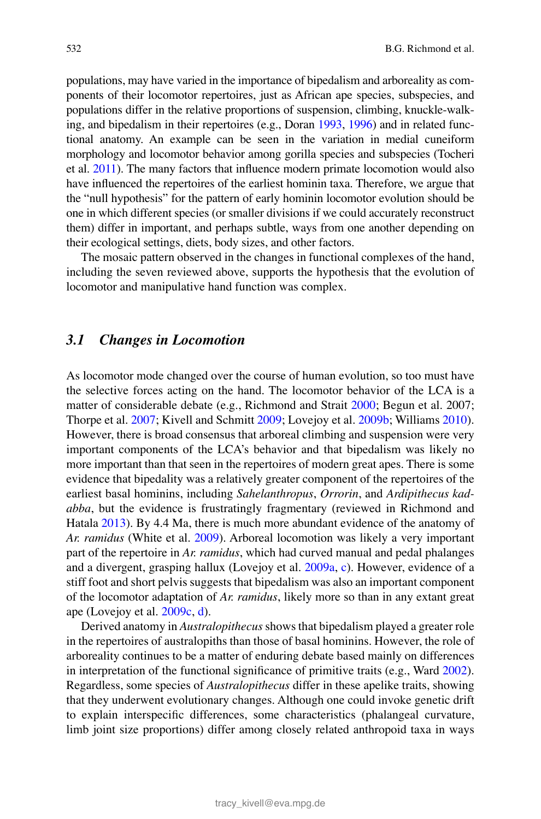populations, may have varied in the importance of bipedalism and arboreality as components of their locomotor repertoires, just as African ape species, subspecies, and populations differ in the relative proportions of suspension, climbing, knuckle-walking, and bipedalism in their repertoires (e.g., Doran 1993, 1996) and in related functional anatomy. An example can be seen in the variation in medial cuneiform morphology and locomotor behavior among gorilla species and subspecies (Tocheri et al.  $2011$ ). The many factors that influence modern primate locomotion would also have influenced the repertoires of the earliest hominin taxa. Therefore, we argue that the "null hypothesis" for the pattern of early hominin locomotor evolution should be one in which different species (or smaller divisions if we could accurately reconstruct them) differ in important, and perhaps subtle, ways from one another depending on their ecological settings, diets, body sizes, and other factors.

 The mosaic pattern observed in the changes in functional complexes of the hand, including the seven reviewed above, supports the hypothesis that the evolution of locomotor and manipulative hand function was complex.

#### *3.1 Changes in Locomotion*

 As locomotor mode changed over the course of human evolution, so too must have the selective forces acting on the hand. The locomotor behavior of the LCA is a matter of considerable debate (e.g., Richmond and Strait 2000; Begun et al. 2007; Thorpe et al. 2007; Kivell and Schmitt 2009; Lovejoy et al. 2009b; Williams 2010). However, there is broad consensus that arboreal climbing and suspension were very important components of the LCA's behavior and that bipedalism was likely no more important than that seen in the repertoires of modern great apes. There is some evidence that bipedality was a relatively greater component of the repertoires of the earliest basal hominins, including *Sahelanthropus* , *Orrorin* , and *Ardipithecus kadabba* , but the evidence is frustratingly fragmentary (reviewed in Richmond and Hatala 2013). By 4.4 Ma, there is much more abundant evidence of the anatomy of Ar. ramidus (White et al. 2009). Arboreal locomotion was likely a very important part of the repertoire in *Ar. ramidus*, which had curved manual and pedal phalanges and a divergent, grasping hallux (Lovejoy et al.  $2009a$ , c). However, evidence of a stiff foot and short pelvis suggests that bipedalism was also an important component of the locomotor adaptation of *Ar. ramidus* , likely more so than in any extant great ape (Lovejov et al.  $2009c, d$ ).

 Derived anatomy in *Australopithecus* shows that bipedalism played a greater role in the repertoires of australopiths than those of basal hominins. However, the role of arboreality continues to be a matter of enduring debate based mainly on differences in interpretation of the functional significance of primitive traits (e.g., Ward  $2002$ ). Regardless, some species of *Australopithecus* differ in these apelike traits, showing that they underwent evolutionary changes. Although one could invoke genetic drift to explain interspecific differences, some characteristics (phalangeal curvature, limb joint size proportions) differ among closely related anthropoid taxa in ways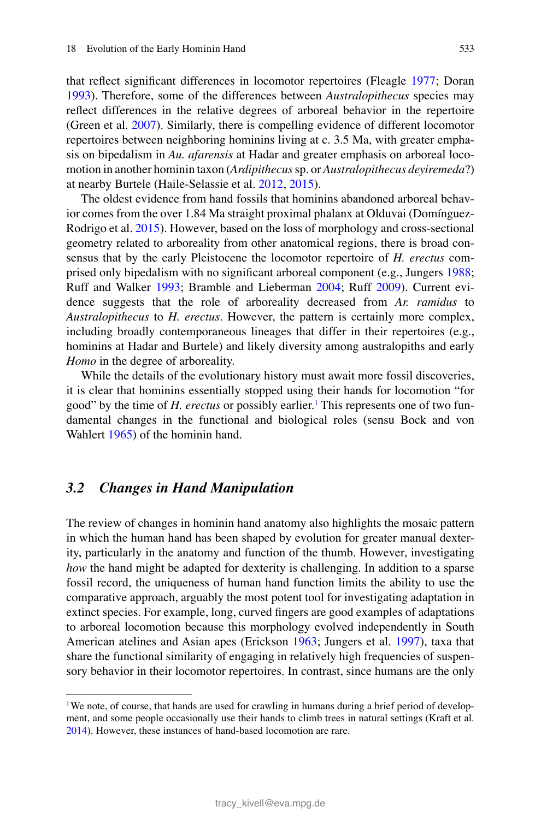that reflect significant differences in locomotor repertoires (Fleagle 1977; Doran 1993 ). Therefore, some of the differences between *Australopithecus* species may reflect differences in the relative degrees of arboreal behavior in the repertoire (Green et al. 2007). Similarly, there is compelling evidence of different locomotor repertoires between neighboring hominins living at c. 3.5 Ma, with greater emphasis on bipedalism in *Au. afarensis* at Hadar and greater emphasis on arboreal locomotion in another hominin taxon ( *Ardipithecus* sp. or *Australopithecus deyiremeda* ?) at nearby Burtele (Haile-Selassie et al. 2012 , 2015 ).

 The oldest evidence from hand fossils that hominins abandoned arboreal behavior comes from the over 1.84 Ma straight proximal phalanx at Olduvai (Domínguez-Rodrigo et al. 2015). However, based on the loss of morphology and cross-sectional geometry related to arboreality from other anatomical regions, there is broad consensus that by the early Pleistocene the locomotor repertoire of *H. erectus* comprised only bipedalism with no significant arboreal component (e.g., Jungers 1988; Ruff and Walker 1993; Bramble and Lieberman 2004; Ruff 2009). Current evidence suggests that the role of arboreality decreased from *Ar. ramidus* to *Australopithecus* to *H. erectus* . However, the pattern is certainly more complex, including broadly contemporaneous lineages that differ in their repertoires (e.g., hominins at Hadar and Burtele) and likely diversity among australopiths and early *Homo* in the degree of arboreality.

 While the details of the evolutionary history must await more fossil discoveries, it is clear that hominins essentially stopped using their hands for locomotion "for good" by the time of *H. erectus* or possibly earlier.<sup>1</sup> This represents one of two fundamental changes in the functional and biological roles (sensu Bock and von Wahlert 1965) of the hominin hand.

## *3.2 Changes in Hand Manipulation*

 The review of changes in hominin hand anatomy also highlights the mosaic pattern in which the human hand has been shaped by evolution for greater manual dexterity, particularly in the anatomy and function of the thumb. However, investigating *how* the hand might be adapted for dexterity is challenging. In addition to a sparse fossil record, the uniqueness of human hand function limits the ability to use the comparative approach, arguably the most potent tool for investigating adaptation in extinct species. For example, long, curved fingers are good examples of adaptations to arboreal locomotion because this morphology evolved independently in South American atelines and Asian apes (Erickson 1963; Jungers et al. 1997), taxa that share the functional similarity of engaging in relatively high frequencies of suspensory behavior in their locomotor repertoires. In contrast, since humans are the only

<sup>&</sup>lt;sup>1</sup>We note, of course, that hands are used for crawling in humans during a brief period of development, and some people occasionally use their hands to climb trees in natural settings (Kraft et al. 2014). However, these instances of hand-based locomotion are rare.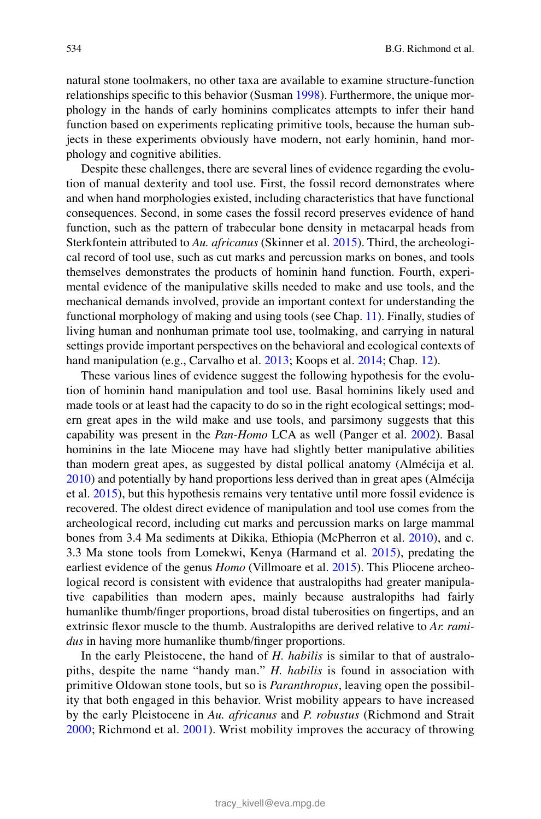natural stone toolmakers, no other taxa are available to examine structure-function relationships specific to this behavior (Susman 1998). Furthermore, the unique morphology in the hands of early hominins complicates attempts to infer their hand function based on experiments replicating primitive tools, because the human subjects in these experiments obviously have modern, not early hominin, hand morphology and cognitive abilities.

 Despite these challenges, there are several lines of evidence regarding the evolution of manual dexterity and tool use. First, the fossil record demonstrates where and when hand morphologies existed, including characteristics that have functional consequences. Second, in some cases the fossil record preserves evidence of hand function, such as the pattern of trabecular bone density in metacarpal heads from Sterkfontein attributed to *Au. africanus* (Skinner et al. 2015). Third, the archeological record of tool use, such as cut marks and percussion marks on bones, and tools themselves demonstrates the products of hominin hand function. Fourth, experimental evidence of the manipulative skills needed to make and use tools, and the mechanical demands involved, provide an important context for understanding the functional morphology of making and using tools (see Chap. [11\)](http://dx.doi.org/10.1007/978-1-4939-3646-5_11). Finally, studies of living human and nonhuman primate tool use, toolmaking, and carrying in natural settings provide important perspectives on the behavioral and ecological contexts of hand manipulation (e.g., Carvalho et al. 2013; Koops et al. 2014; Chap. [12](http://dx.doi.org/10.1007/978-1-4939-3646-5_12)).

 These various lines of evidence suggest the following hypothesis for the evolution of hominin hand manipulation and tool use. Basal hominins likely used and made tools or at least had the capacity to do so in the right ecological settings; modern great apes in the wild make and use tools, and parsimony suggests that this capability was present in the *Pan-Homo* LCA as well (Panger et al. 2002). Basal hominins in the late Miocene may have had slightly better manipulative abilities than modern great apes, as suggested by distal pollical anatomy (Almécija et al. 2010 ) and potentially by hand proportions less derived than in great apes (Almécija et al. 2015 ), but this hypothesis remains very tentative until more fossil evidence is recovered. The oldest direct evidence of manipulation and tool use comes from the archeological record, including cut marks and percussion marks on large mammal bones from 3.4 Ma sediments at Dikika, Ethiopia (McPherron et al. 2010), and c. 3.3 Ma stone tools from Lomekwi, Kenya (Harmand et al. 2015), predating the earliest evidence of the genus *Homo* (Villmoare et al. 2015). This Pliocene archeological record is consistent with evidence that australopiths had greater manipulative capabilities than modern apes, mainly because australopiths had fairly humanlike thumb/finger proportions, broad distal tuberosities on fingertips, and an extrinsic flexor muscle to the thumb. Australopiths are derived relative to *Ar. ramidus* in having more humanlike thumb/finger proportions.

 In the early Pleistocene, the hand of *H. habilis* is similar to that of australopiths, despite the name "handy man." *H. habilis* is found in association with primitive Oldowan stone tools, but so is *Paranthropus* , leaving open the possibility that both engaged in this behavior. Wrist mobility appears to have increased by the early Pleistocene in *Au. africanus* and *P. robustus* (Richmond and Strait  $2000$ ; Richmond et al.  $2001$ ). Wrist mobility improves the accuracy of throwing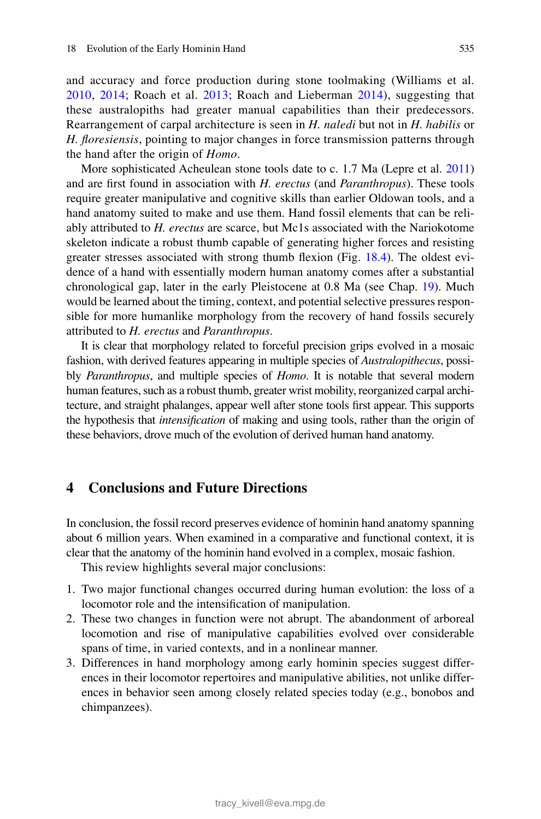and accuracy and force production during stone toolmaking (Williams et al.  $2010$ ,  $2014$ ; Roach et al.  $2013$ ; Roach and Lieberman  $2014$ ), suggesting that these australopiths had greater manual capabilities than their predecessors. Rearrangement of carpal architecture is seen in *H. naledi* but not in *H. habilis* or *H. floresiensis*, pointing to major changes in force transmission patterns through the hand after the origin of *Homo* .

More sophisticated Acheulean stone tools date to c. 1.7 Ma (Lepre et al. 2011) and are first found in association with *H. erectus* (and *Paranthropus*). These tools require greater manipulative and cognitive skills than earlier Oldowan tools, and a hand anatomy suited to make and use them. Hand fossil elements that can be reliably attributed to *H. erectus* are scarce, but Mc1s associated with the Nariokotome skeleton indicate a robust thumb capable of generating higher forces and resisting greater stresses associated with strong thumb flexion (Fig.  $18.4$ ). The oldest evidence of a hand with essentially modern human anatomy comes after a substantial chronological gap, later in the early Pleistocene at 0.8 Ma (see Chap. [19\)](http://dx.doi.org/10.1007/978-1-4939-3646-5_19). Much would be learned about the timing, context, and potential selective pressures responsible for more humanlike morphology from the recovery of hand fossils securely attributed to *H. erectus* and *Paranthropus* .

 It is clear that morphology related to forceful precision grips evolved in a mosaic fashion, with derived features appearing in multiple species of *Australopithecus* , possibly *Paranthropus* , and multiple species of *Homo* . It is notable that several modern human features, such as a robust thumb, greater wrist mobility, reorganized carpal architecture, and straight phalanges, appear well after stone tools first appear. This supports the hypothesis that *intensification* of making and using tools, rather than the origin of these behaviors, drove much of the evolution of derived human hand anatomy.

## **4 Conclusions and Future Directions**

 In conclusion, the fossil record preserves evidence of hominin hand anatomy spanning about 6 million years. When examined in a comparative and functional context, it is clear that the anatomy of the hominin hand evolved in a complex, mosaic fashion.

This review highlights several major conclusions:

- 1. Two major functional changes occurred during human evolution: the loss of a locomotor role and the intensification of manipulation.
- 2. These two changes in function were not abrupt. The abandonment of arboreal locomotion and rise of manipulative capabilities evolved over considerable spans of time, in varied contexts, and in a nonlinear manner.
- 3. Differences in hand morphology among early hominin species suggest differences in their locomotor repertoires and manipulative abilities, not unlike differences in behavior seen among closely related species today (e.g., bonobos and chimpanzees).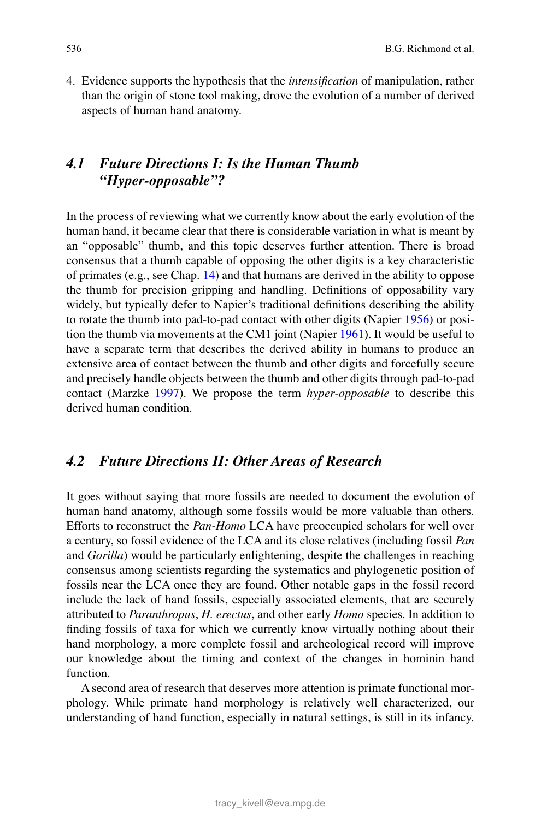4. Evidence supports the hypothesis that the *intensification* of manipulation, rather than the origin of stone tool making, drove the evolution of a number of derived aspects of human hand anatomy.

# *4.1 Future Directions I: Is the Human Thumb "Hyper-opposable"?*

 In the process of reviewing what we currently know about the early evolution of the human hand, it became clear that there is considerable variation in what is meant by an "opposable" thumb, and this topic deserves further attention. There is broad consensus that a thumb capable of opposing the other digits is a key characteristic of primates (e.g., see Chap. [14\)](http://dx.doi.org/10.1007/978-1-4939-3646-5_14) and that humans are derived in the ability to oppose the thumb for precision gripping and handling. Definitions of opposability vary widely, but typically defer to Napier's traditional definitions describing the ability to rotate the thumb into pad-to-pad contact with other digits (Napier 1956) or position the thumb via movements at the CM1 joint (Napier 1961 ). It would be useful to have a separate term that describes the derived ability in humans to produce an extensive area of contact between the thumb and other digits and forcefully secure and precisely handle objects between the thumb and other digits through pad-to-pad contact (Marzke 1997). We propose the term *hyper-opposable* to describe this derived human condition.

### *4.2 Future Directions II: Other Areas of Research*

 It goes without saying that more fossils are needed to document the evolution of human hand anatomy, although some fossils would be more valuable than others. Efforts to reconstruct the *Pan-Homo* LCA have preoccupied scholars for well over a century, so fossil evidence of the LCA and its close relatives (including fossil *Pan* and *Gorilla* ) would be particularly enlightening, despite the challenges in reaching consensus among scientists regarding the systematics and phylogenetic position of fossils near the LCA once they are found. Other notable gaps in the fossil record include the lack of hand fossils, especially associated elements, that are securely attributed to *Paranthropus* , *H. erectus* , and other early *Homo* species. In addition to finding fossils of taxa for which we currently know virtually nothing about their hand morphology, a more complete fossil and archeological record will improve our knowledge about the timing and context of the changes in hominin hand function.

 A second area of research that deserves more attention is primate functional morphology. While primate hand morphology is relatively well characterized, our understanding of hand function, especially in natural settings, is still in its infancy.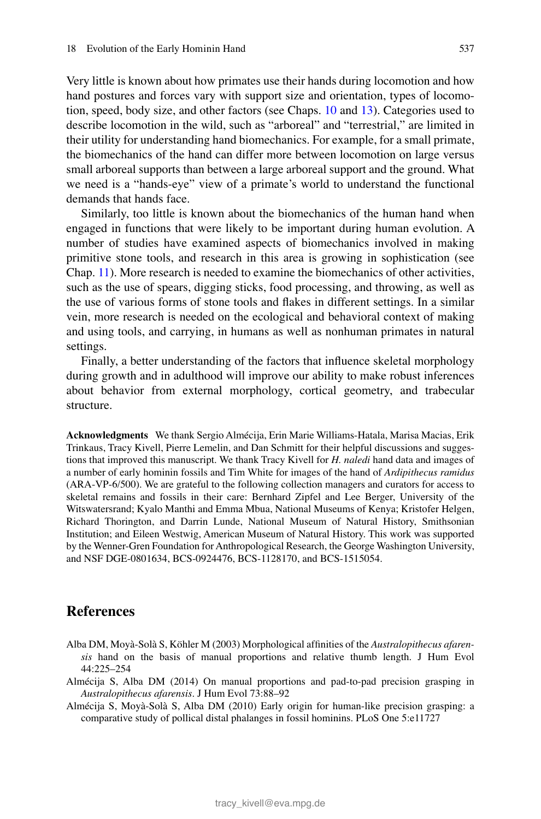Very little is known about how primates use their hands during locomotion and how hand postures and forces vary with support size and orientation, types of locomotion, speed, body size, and other factors (see Chaps. [10](http://dx.doi.org/10.1007/978-1-4939-3646-5_10) and [13](http://dx.doi.org/10.1007/978-1-4939-3646-5_13)). Categories used to describe locomotion in the wild, such as "arboreal" and "terrestrial," are limited in their utility for understanding hand biomechanics. For example, for a small primate, the biomechanics of the hand can differ more between locomotion on large versus small arboreal supports than between a large arboreal support and the ground. What we need is a "hands-eye" view of a primate's world to understand the functional demands that hands face.

 Similarly, too little is known about the biomechanics of the human hand when engaged in functions that were likely to be important during human evolution. A number of studies have examined aspects of biomechanics involved in making primitive stone tools, and research in this area is growing in sophistication (see Chap. [11](http://dx.doi.org/10.1007/978-1-4939-3646-5_11)). More research is needed to examine the biomechanics of other activities, such as the use of spears, digging sticks, food processing, and throwing, as well as the use of various forms of stone tools and flakes in different settings. In a similar vein, more research is needed on the ecological and behavioral context of making and using tools, and carrying, in humans as well as nonhuman primates in natural settings.

Finally, a better understanding of the factors that influence skeletal morphology during growth and in adulthood will improve our ability to make robust inferences about behavior from external morphology, cortical geometry, and trabecular structure.

 **Acknowledgments** We thank Sergio Almécija, Erin Marie Williams-Hatala, Marisa Macias, Erik Trinkaus, Tracy Kivell, Pierre Lemelin, and Dan Schmitt for their helpful discussions and suggestions that improved this manuscript. We thank Tracy Kivell for *H. naledi* hand data and images of a number of early hominin fossils and Tim White for images of the hand of *Ardipithecus ramidus* (ARA-VP-6/500). We are grateful to the following collection managers and curators for access to skeletal remains and fossils in their care: Bernhard Zipfel and Lee Berger, University of the Witswatersrand; Kyalo Manthi and Emma Mbua, National Museums of Kenya; Kristofer Helgen, Richard Thorington, and Darrin Lunde, National Museum of Natural History, Smithsonian Institution; and Eileen Westwig, American Museum of Natural History. This work was supported by the Wenner-Gren Foundation for Anthropological Research, the George Washington University, and NSF DGE-0801634, BCS-0924476, BCS-1128170, and BCS-1515054.

## **References**

- Alba DM, Moyà-Solà S, Köhler M (2003) Morphological affinities of the *Australopithecus afarensis* hand on the basis of manual proportions and relative thumb length. J Hum Evol 44:225–254
- Almécija S, Alba DM (2014) On manual proportions and pad-to-pad precision grasping in *Australopithecus afarensis* . J Hum Evol 73:88–92
- Almécija S, Moyà-Solà S, Alba DM (2010) Early origin for human-like precision grasping: a comparative study of pollical distal phalanges in fossil hominins. PLoS One 5:e11727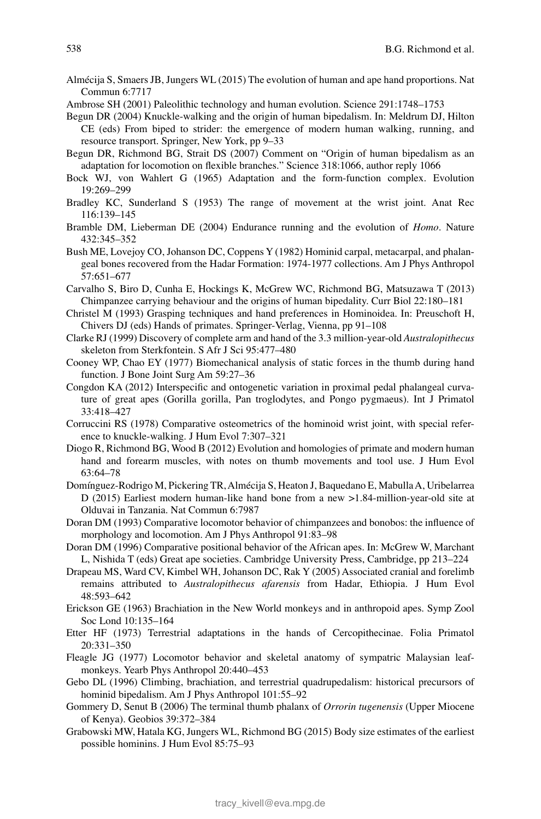- Almécija S, Smaers JB, Jungers WL (2015) The evolution of human and ape hand proportions. Nat Commun 6:7717
- Ambrose SH (2001) Paleolithic technology and human evolution. Science 291:1748–1753
- Begun DR (2004) Knuckle-walking and the origin of human bipedalism. In: Meldrum DJ, Hilton CE (eds) From biped to strider: the emergence of modern human walking, running, and resource transport. Springer, New York, pp 9–33
- Begun DR, Richmond BG, Strait DS (2007) Comment on "Origin of human bipedalism as an adaptation for locomotion on flexible branches." Science 318:1066, author reply 1066
- Bock WJ, von Wahlert G (1965) Adaptation and the form-function complex. Evolution 19:269–299
- Bradley KC, Sunderland S (1953) The range of movement at the wrist joint. Anat Rec 116:139–145
- Bramble DM, Lieberman DE (2004) Endurance running and the evolution of *Homo* . Nature 432:345–352
- Bush ME, Lovejoy CO, Johanson DC, Coppens Y (1982) Hominid carpal, metacarpal, and phalangeal bones recovered from the Hadar Formation: 1974-1977 collections. Am J Phys Anthropol 57:651–677
- Carvalho S, Biro D, Cunha E, Hockings K, McGrew WC, Richmond BG, Matsuzawa T (2013) Chimpanzee carrying behaviour and the origins of human bipedality. Curr Biol 22:180–181
- Christel M (1993) Grasping techniques and hand preferences in Hominoidea. In: Preuschoft H, Chivers DJ (eds) Hands of primates. Springer-Verlag, Vienna, pp 91–108
- Clarke RJ (1999) Discovery of complete arm and hand of the 3.3 million-year-old *Australopithecus* skeleton from Sterkfontein. S Afr J Sci 95:477–480
- Cooney WP, Chao EY (1977) Biomechanical analysis of static forces in the thumb during hand function. J Bone Joint Surg Am 59:27–36
- Congdon KA (2012) Interspecific and ontogenetic variation in proximal pedal phalangeal curvature of great apes (Gorilla gorilla, Pan troglodytes, and Pongo pygmaeus). Int J Primatol 33:418–427
- Corruccini RS (1978) Comparative osteometrics of the hominoid wrist joint, with special reference to knuckle-walking. J Hum Evol 7:307–321
- Diogo R, Richmond BG, Wood B (2012) Evolution and homologies of primate and modern human hand and forearm muscles, with notes on thumb movements and tool use. J Hum Evol 63:64–78
- Domínguez-Rodrigo M, Pickering TR, Almécija S, Heaton J, Baquedano E, Mabulla A, Uribelarrea D (2015) Earliest modern human-like hand bone from a new >1.84-million-year-old site at Olduvai in Tanzania. Nat Commun 6:7987
- Doran DM (1993) Comparative locomotor behavior of chimpanzees and bonobos: the influence of morphology and locomotion. Am J Phys Anthropol 91:83–98
- Doran DM (1996) Comparative positional behavior of the African apes. In: McGrew W, Marchant L, Nishida T (eds) Great ape societies. Cambridge University Press, Cambridge, pp 213–224
- Drapeau MS, Ward CV, Kimbel WH, Johanson DC, Rak Y (2005) Associated cranial and forelimb remains attributed to *Australopithecus afarensis* from Hadar, Ethiopia. J Hum Evol 48:593–642
- Erickson GE (1963) Brachiation in the New World monkeys and in anthropoid apes. Symp Zool Soc Lond 10:135–164
- Etter HF (1973) Terrestrial adaptations in the hands of Cercopithecinae. Folia Primatol 20:331–350
- Fleagle JG (1977) Locomotor behavior and skeletal anatomy of sympatric Malaysian leafmonkeys. Yearb Phys Anthropol 20:440–453
- Gebo DL (1996) Climbing, brachiation, and terrestrial quadrupedalism: historical precursors of hominid bipedalism. Am J Phys Anthropol 101:55–92
- Gommery D, Senut B (2006) The terminal thumb phalanx of *Orrorin tugenensis* (Upper Miocene of Kenya). Geobios 39:372–384
- Grabowski MW, Hatala KG, Jungers WL, Richmond BG (2015) Body size estimates of the earliest possible hominins. J Hum Evol 85:75–93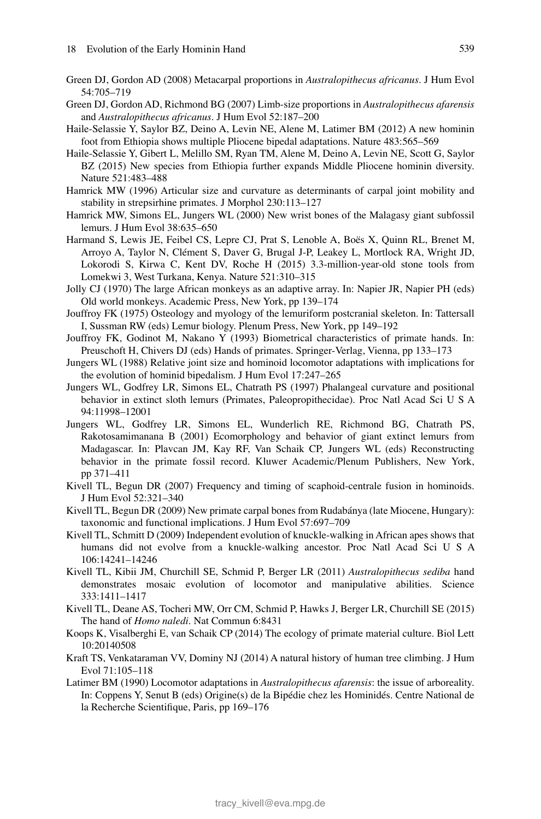- Green DJ, Gordon AD (2008) Metacarpal proportions in *Australopithecus africanus* . J Hum Evol 54:705–719
- Green DJ, Gordon AD, Richmond BG (2007) Limb-size proportions in *Australopithecus afarensis* and *Australopithecus africanus* . J Hum Evol 52:187–200
- Haile-Selassie Y, Saylor BZ, Deino A, Levin NE, Alene M, Latimer BM (2012) A new hominin foot from Ethiopia shows multiple Pliocene bipedal adaptations. Nature 483:565–569
- Haile-Selassie Y, Gibert L, Melillo SM, Ryan TM, Alene M, Deino A, Levin NE, Scott G, Saylor BZ (2015) New species from Ethiopia further expands Middle Pliocene hominin diversity. Nature 521:483–488
- Hamrick MW (1996) Articular size and curvature as determinants of carpal joint mobility and stability in strepsirhine primates. J Morphol 230:113–127
- Hamrick MW, Simons EL, Jungers WL (2000) New wrist bones of the Malagasy giant subfossil lemurs. J Hum Evol 38:635–650
- Harmand S, Lewis JE, Feibel CS, Lepre CJ, Prat S, Lenoble A, Boës X, Quinn RL, Brenet M, Arroyo A, Taylor N, Clément S, Daver G, Brugal J-P, Leakey L, Mortlock RA, Wright JD, Lokorodi S, Kirwa C, Kent DV, Roche H (2015) 3.3-million-year-old stone tools from Lomekwi 3, West Turkana, Kenya. Nature 521:310–315
- Jolly CJ (1970) The large African monkeys as an adaptive array. In: Napier JR, Napier PH (eds) Old world monkeys. Academic Press, New York, pp 139–174
- Jouffroy FK (1975) Osteology and myology of the lemuriform postcranial skeleton. In: Tattersall I, Sussman RW (eds) Lemur biology. Plenum Press, New York, pp 149–192
- Jouffroy FK, Godinot M, Nakano Y (1993) Biometrical characteristics of primate hands. In: Preuschoft H, Chivers DJ (eds) Hands of primates. Springer-Verlag, Vienna, pp 133–173
- Jungers WL (1988) Relative joint size and hominoid locomotor adaptations with implications for the evolution of hominid bipedalism. J Hum Evol 17:247–265
- Jungers WL, Godfrey LR, Simons EL, Chatrath PS (1997) Phalangeal curvature and positional behavior in extinct sloth lemurs (Primates, Paleopropithecidae). Proc Natl Acad Sci U S A 94:11998–12001
- Jungers WL, Godfrey LR, Simons EL, Wunderlich RE, Richmond BG, Chatrath PS, Rakotosamimanana B (2001) Ecomorphology and behavior of giant extinct lemurs from Madagascar. In: Plavcan JM, Kay RF, Van Schaik CP, Jungers WL (eds) Reconstructing behavior in the primate fossil record. Kluwer Academic/Plenum Publishers, New York, pp 371–411
- Kivell TL, Begun DR (2007) Frequency and timing of scaphoid-centrale fusion in hominoids. J Hum Evol 52:321–340
- Kivell TL, Begun DR (2009) New primate carpal bones from Rudabánya (late Miocene, Hungary): taxonomic and functional implications. J Hum Evol 57:697–709
- Kivell TL, Schmitt D (2009) Independent evolution of knuckle-walking in African apes shows that humans did not evolve from a knuckle-walking ancestor. Proc Natl Acad Sci U S A 106:14241–14246
- Kivell TL, Kibii JM, Churchill SE, Schmid P, Berger LR (2011) *Australopithecus sediba* hand demonstrates mosaic evolution of locomotor and manipulative abilities. Science 333:1411–1417
- Kivell TL, Deane AS, Tocheri MW, Orr CM, Schmid P, Hawks J, Berger LR, Churchill SE (2015) The hand of *Homo naledi* . Nat Commun 6:8431
- Koops K, Visalberghi E, van Schaik CP (2014) The ecology of primate material culture. Biol Lett 10:20140508
- Kraft TS, Venkataraman VV, Dominy NJ (2014) A natural history of human tree climbing. J Hum Evol 71:105–118
- Latimer BM (1990) Locomotor adaptations in *Australopithecus afarensis* : the issue of arboreality. In: Coppens Y, Senut B (eds) Origine(s) de la Bipédie chez les Hominidés. Centre National de la Recherche Scientifique, Paris, pp 169–176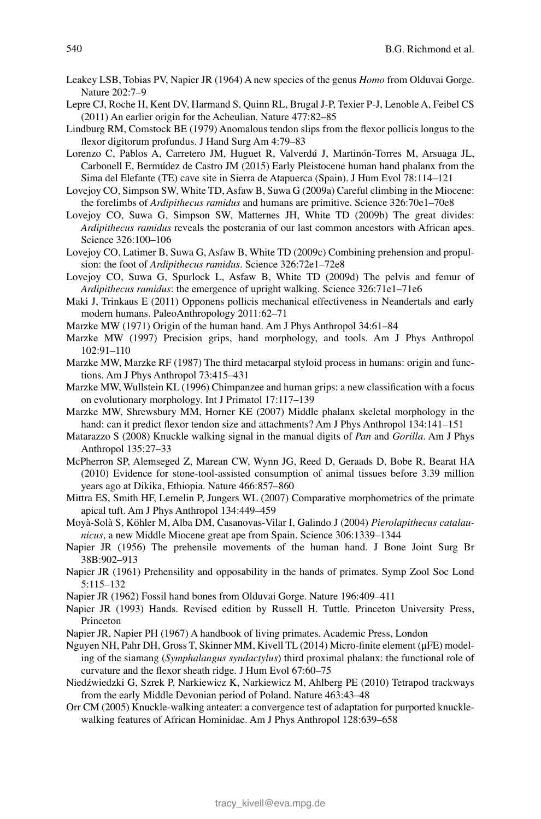- Leakey LSB, Tobias PV, Napier JR (1964) A new species of the genus *Homo* from Olduvai Gorge. Nature 202:7–9
- Lepre CJ, Roche H, Kent DV, Harmand S, Quinn RL, Brugal J-P, Texier P-J, Lenoble A, Feibel CS (2011) An earlier origin for the Acheulian. Nature 477:82–85
- Lindburg RM, Comstock BE (1979) Anomalous tendon slips from the flexor pollicis longus to the flexor digitorum profundus. J Hand Surg Am 4:79–83
- Lorenzo C, Pablos A, Carretero JM, Huguet R, Valverdú J, Martinón-Torres M, Arsuaga JL, Carbonell E, Bermúdez de Castro JM (2015) Early Pleistocene human hand phalanx from the Sima del Elefante (TE) cave site in Sierra de Atapuerca (Spain). J Hum Evol 78:114–121
- Lovejoy CO, Simpson SW, White TD, Asfaw B, Suwa G (2009a) Careful climbing in the Miocene: the forelimbs of *Ardipithecus ramidus* and humans are primitive. Science 326:70e1–70e8
- Lovejoy CO, Suwa G, Simpson SW, Matternes JH, White TD (2009b) The great divides: *Ardipithecus ramidus* reveals the postcrania of our last common ancestors with African apes. Science 326:100–106
- Lovejoy CO, Latimer B, Suwa G, Asfaw B, White TD (2009c) Combining prehension and propulsion: the foot of *Ardipithecus ramidus* . Science 326:72e1–72e8
- Lovejoy CO, Suwa G, Spurlock L, Asfaw B, White TD (2009d) The pelvis and femur of *Ardipithecus ramidus*: the emergence of upright walking. Science 326:71e1-71e6
- Maki J, Trinkaus E (2011) Opponens pollicis mechanical effectiveness in Neandertals and early modern humans. PaleoAnthropology 2011:62–71
- Marzke MW (1971) Origin of the human hand. Am J Phys Anthropol 34:61–84
- Marzke MW (1997) Precision grips, hand morphology, and tools. Am J Phys Anthropol 102:91–110
- Marzke MW, Marzke RF (1987) The third metacarpal styloid process in humans: origin and functions. Am J Phys Anthropol 73:415–431
- Marzke MW, Wullstein KL (1996) Chimpanzee and human grips: a new classification with a focus on evolutionary morphology. Int J Primatol 17:117–139
- Marzke MW, Shrewsbury MM, Horner KE (2007) Middle phalanx skeletal morphology in the hand: can it predict flexor tendon size and attachments? Am J Phys Anthropol 134:141–151
- Matarazzo S (2008) Knuckle walking signal in the manual digits of *Pan* and *Gorilla* . Am J Phys Anthropol 135:27–33
- McPherron SP, Alemseged Z, Marean CW, Wynn JG, Reed D, Geraads D, Bobe R, Bearat HA (2010) Evidence for stone-tool-assisted consumption of animal tissues before 3.39 million years ago at Dikika, Ethiopia. Nature 466:857–860
- Mittra ES, Smith HF, Lemelin P, Jungers WL (2007) Comparative morphometrics of the primate apical tuft. Am J Phys Anthropol 134:449–459
- Moyà-Solà S, Köhler M, Alba DM, Casanovas-Vilar I, Galindo J (2004) *Pierolapithecus catalaunicus* , a new Middle Miocene great ape from Spain. Science 306:1339–1344
- Napier JR (1956) The prehensile movements of the human hand. J Bone Joint Surg Br 38B:902–913
- Napier JR (1961) Prehensility and opposability in the hands of primates. Symp Zool Soc Lond 5:115–132
- Napier JR (1962) Fossil hand bones from Olduvai Gorge. Nature 196:409–411
- Napier JR (1993) Hands. Revised edition by Russell H. Tuttle. Princeton University Press, Princeton
- Napier JR, Napier PH (1967) A handbook of living primates. Academic Press, London
- Nguyen NH, Pahr DH, Gross T, Skinner MM, Kivell TL (2014) Micro-finite element (μFE) modeling of the siamang (Symphalangus syndactylus) third proximal phalanx: the functional role of curvature and the flexor sheath ridge. J Hum Evol 67:60–75
- Niedźwiedzki G, Szrek P, Narkiewicz K, Narkiewicz M, Ahlberg PE (2010) Tetrapod trackways from the early Middle Devonian period of Poland. Nature 463:43–48
- Orr CM (2005) Knuckle-walking anteater: a convergence test of adaptation for purported knucklewalking features of African Hominidae. Am J Phys Anthropol 128:639–658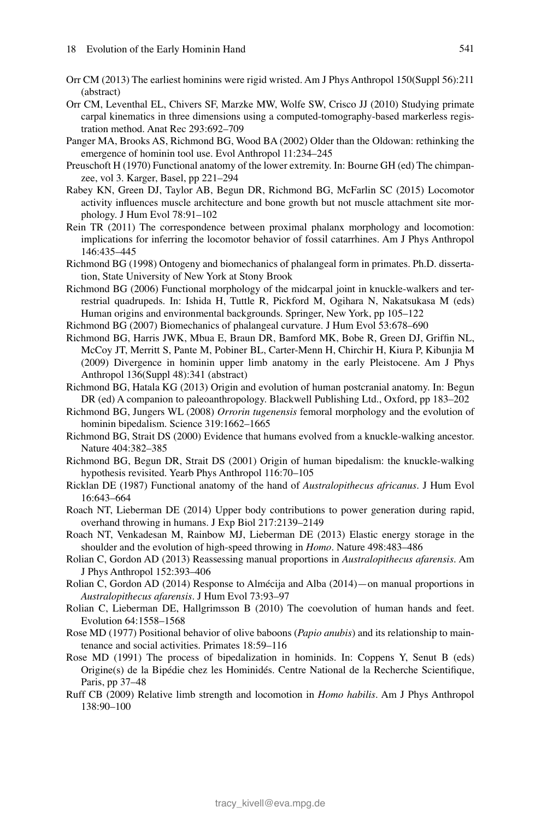- Orr CM (2013) The earliest hominins were rigid wristed. Am J Phys Anthropol 150(Suppl 56):211 (abstract)
- Orr CM, Leventhal EL, Chivers SF, Marzke MW, Wolfe SW, Crisco JJ (2010) Studying primate carpal kinematics in three dimensions using a computed-tomography-based markerless registration method. Anat Rec 293:692–709
- Panger MA, Brooks AS, Richmond BG, Wood BA (2002) Older than the Oldowan: rethinking the emergence of hominin tool use. Evol Anthropol 11:234–245
- Preuschoft H (1970) Functional anatomy of the lower extremity. In: Bourne GH (ed) The chimpanzee, vol 3. Karger, Basel, pp 221–294
- Rabey KN, Green DJ, Taylor AB, Begun DR, Richmond BG, McFarlin SC (2015) Locomotor activity influences muscle architecture and bone growth but not muscle attachment site morphology. J Hum Evol 78:91–102
- Rein TR (2011) The correspondence between proximal phalanx morphology and locomotion: implications for inferring the locomotor behavior of fossil catarrhines. Am J Phys Anthropol 146:435–445
- Richmond BG (1998) Ontogeny and biomechanics of phalangeal form in primates. Ph.D. dissertation, State University of New York at Stony Brook
- Richmond BG (2006) Functional morphology of the midcarpal joint in knuckle-walkers and terrestrial quadrupeds. In: Ishida H, Tuttle R, Pickford M, Ogihara N, Nakatsukasa M (eds) Human origins and environmental backgrounds. Springer, New York, pp 105–122
- Richmond BG (2007) Biomechanics of phalangeal curvature. J Hum Evol 53:678–690
- Richmond BG, Harris JWK, Mbua E, Braun DR, Bamford MK, Bobe R, Green DJ, Griffin NL, McCoy JT, Merritt S, Pante M, Pobiner BL, Carter-Menn H, Chirchir H, Kiura P, Kibunjia M (2009) Divergence in hominin upper limb anatomy in the early Pleistocene. Am J Phys Anthropol 136(Suppl 48):341 (abstract)
- Richmond BG, Hatala KG (2013) Origin and evolution of human postcranial anatomy. In: Begun DR (ed) A companion to paleoanthropology. Blackwell Publishing Ltd., Oxford, pp 183–202
- Richmond BG, Jungers WL (2008) *Orrorin tugenensis* femoral morphology and the evolution of hominin bipedalism. Science 319:1662–1665
- Richmond BG, Strait DS (2000) Evidence that humans evolved from a knuckle-walking ancestor. Nature 404:382–385
- Richmond BG, Begun DR, Strait DS (2001) Origin of human bipedalism: the knuckle-walking hypothesis revisited. Yearb Phys Anthropol 116:70–105
- Ricklan DE (1987) Functional anatomy of the hand of *Australopithecus africanus* . J Hum Evol 16:643–664
- Roach NT, Lieberman DE (2014) Upper body contributions to power generation during rapid, overhand throwing in humans. J Exp Biol 217:2139–2149
- Roach NT, Venkadesan M, Rainbow MJ, Lieberman DE (2013) Elastic energy storage in the shoulder and the evolution of high-speed throwing in *Homo* . Nature 498:483–486
- Rolian C, Gordon AD (2013) Reassessing manual proportions in *Australopithecus afarensis* . Am J Phys Anthropol 152:393–406
- Rolian C, Gordon AD (2014) Response to Almécija and Alba (2014)—on manual proportions in *Australopithecus afarensis* . J Hum Evol 73:93–97
- Rolian C, Lieberman DE, Hallgrimsson B (2010) The coevolution of human hands and feet. Evolution 64:1558–1568
- Rose MD (1977) Positional behavior of olive baboons ( *Papio anubis* ) and its relationship to maintenance and social activities. Primates 18:59–116
- Rose MD (1991) The process of bipedalization in hominids. In: Coppens Y, Senut B (eds) Origine(s) de la Bipédie chez les Hominidés. Centre National de la Recherche Scientifique, Paris, pp 37–48
- Ruff CB (2009) Relative limb strength and locomotion in *Homo habilis* . Am J Phys Anthropol 138:90–100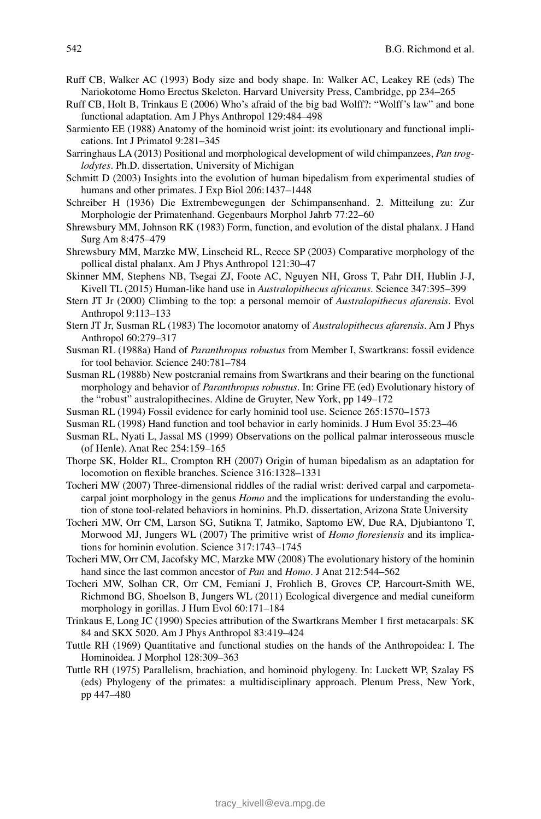- Ruff CB, Walker AC (1993) Body size and body shape. In: Walker AC, Leakey RE (eds) The Nariokotome Homo Erectus Skeleton. Harvard University Press, Cambridge, pp 234–265
- Ruff CB, Holt B, Trinkaus E (2006) Who's afraid of the big bad Wolff?: "Wolff's law" and bone functional adaptation. Am J Phys Anthropol 129:484–498
- Sarmiento EE (1988) Anatomy of the hominoid wrist joint: its evolutionary and functional implications. Int J Primatol 9:281–345
- Sarringhaus LA (2013) Positional and morphological development of wild chimpanzees, *Pan troglodytes* . Ph.D. dissertation, University of Michigan
- Schmitt D (2003) Insights into the evolution of human bipedalism from experimental studies of humans and other primates. J Exp Biol 206:1437–1448
- Schreiber H (1936) Die Extrembewegungen der Schimpansenhand. 2. Mitteilung zu: Zur Morphologie der Primatenhand. Gegenbaurs Morphol Jahrb 77:22–60
- Shrewsbury MM, Johnson RK (1983) Form, function, and evolution of the distal phalanx. J Hand Surg Am 8:475–479
- Shrewsbury MM, Marzke MW, Linscheid RL, Reece SP (2003) Comparative morphology of the pollical distal phalanx. Am J Phys Anthropol 121:30–47
- Skinner MM, Stephens NB, Tsegai ZJ, Foote AC, Nguyen NH, Gross T, Pahr DH, Hublin J-J, Kivell TL (2015) Human-like hand use in *Australopithecus africanus* . Science 347:395–399
- Stern JT Jr (2000) Climbing to the top: a personal memoir of *Australopithecus afarensis* . Evol Anthropol 9:113–133
- Stern JT Jr, Susman RL (1983) The locomotor anatomy of *Australopithecus afarensis* . Am J Phys Anthropol 60:279–317
- Susman RL (1988a) Hand of *Paranthropus robustus* from Member I, Swartkrans: fossil evidence for tool behavior. Science 240:781–784
- Susman RL (1988b) New postcranial remains from Swartkrans and their bearing on the functional morphology and behavior of *Paranthropus robustus*. In: Grine FE (ed) Evolutionary history of the "robust" australopithecines. Aldine de Gruyter, New York, pp 149–172
- Susman RL (1994) Fossil evidence for early hominid tool use. Science 265:1570–1573
- Susman RL (1998) Hand function and tool behavior in early hominids. J Hum Evol 35:23–46
- Susman RL, Nyati L, Jassal MS (1999) Observations on the pollical palmar interosseous muscle (of Henle). Anat Rec 254:159–165
- Thorpe SK, Holder RL, Crompton RH (2007) Origin of human bipedalism as an adaptation for locomotion on flexible branches. Science 316:1328-1331
- Tocheri MW (2007) Three-dimensional riddles of the radial wrist: derived carpal and carpometacarpal joint morphology in the genus *Homo* and the implications for understanding the evolution of stone tool-related behaviors in hominins. Ph.D. dissertation, Arizona State University
- Tocheri MW, Orr CM, Larson SG, Sutikna T, Jatmiko, Saptomo EW, Due RA, Djubiantono T, Morwood MJ, Jungers WL (2007) The primitive wrist of *Homo floresiensis* and its implications for hominin evolution. Science 317:1743–1745
- Tocheri MW, Orr CM, Jacofsky MC, Marzke MW (2008) The evolutionary history of the hominin hand since the last common ancestor of *Pan* and *Homo* . J Anat 212:544–562
- Tocheri MW, Solhan CR, Orr CM, Femiani J, Frohlich B, Groves CP, Harcourt-Smith WE, Richmond BG, Shoelson B, Jungers WL (2011) Ecological divergence and medial cuneiform morphology in gorillas. J Hum Evol 60:171–184
- Trinkaus E, Long JC (1990) Species attribution of the Swartkrans Member 1 first metacarpals: SK 84 and SKX 5020. Am J Phys Anthropol 83:419–424
- Tuttle RH (1969) Quantitative and functional studies on the hands of the Anthropoidea: I. The Hominoidea. J Morphol 128:309–363
- Tuttle RH (1975) Parallelism, brachiation, and hominoid phylogeny. In: Luckett WP, Szalay FS (eds) Phylogeny of the primates: a multidisciplinary approach. Plenum Press, New York, pp 447–480